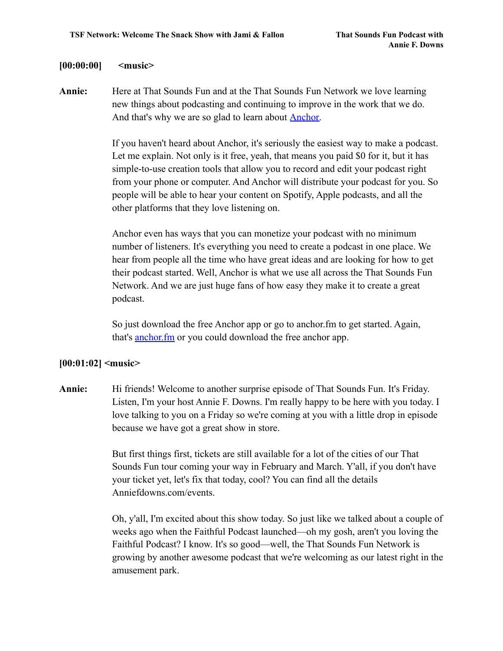#### **[00:00:00] <music>**

**Annie:** Here at That Sounds Fun and at the That Sounds Fun Network we love learning new things about podcasting and continuing to improve in the work that we do. And that's why we are so glad to learn about **Anchor**.

> If you haven't heard about Anchor, it's seriously the easiest way to make a podcast. Let me explain. Not only is it free, yeah, that means you paid \$0 for it, but it has simple-to-use creation tools that allow you to record and edit your podcast right from your phone or computer. And Anchor will distribute your podcast for you. So people will be able to hear your content on Spotify, Apple podcasts, and all the other platforms that they love listening on.

Anchor even has ways that you can monetize your podcast with no minimum number of listeners. It's everything you need to create a podcast in one place. We hear from people all the time who have great ideas and are looking for how to get their podcast started. Well, Anchor is what we use all across the That Sounds Fun Network. And we are just huge fans of how easy they make it to create a great podcast.

So just download the free Anchor app or go to anchor.fm to get started. Again, that's **[anchor.fm](http://www.anchor.fm)** or you could download the free anchor app.

### **[00:01:02] <music>**

**Annie:** Hi friends! Welcome to another surprise episode of That Sounds Fun. It's Friday. Listen, I'm your host Annie F. Downs. I'm really happy to be here with you today. I love talking to you on a Friday so we're coming at you with a little drop in episode because we have got a great show in store.

> But first things first, tickets are still available for a lot of the cities of our That Sounds Fun tour coming your way in February and March. Y'all, if you don't have your ticket yet, let's fix that today, cool? You can find all the details Anniefdowns.com/events.

Oh, y'all, I'm excited about this show today. So just like we talked about a couple of weeks ago when the Faithful Podcast launched—oh my gosh, aren't you loving the Faithful Podcast? I know. It's so good—well, the That Sounds Fun Network is growing by another awesome podcast that we're welcoming as our latest right in the amusement park.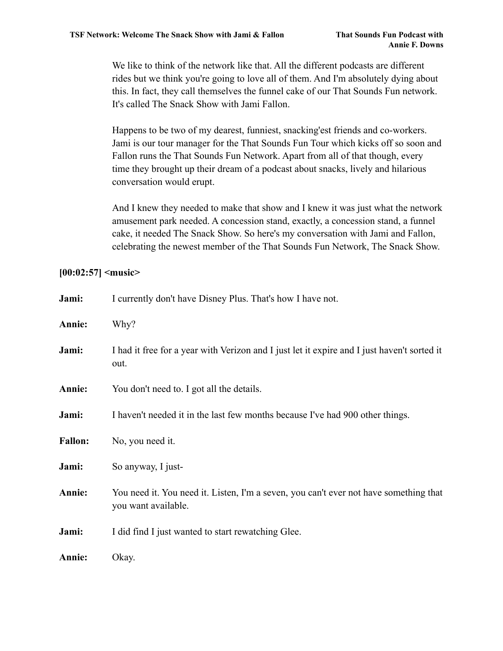We like to think of the network like that. All the different podcasts are different rides but we think you're going to love all of them. And I'm absolutely dying about this. In fact, they call themselves the funnel cake of our That Sounds Fun network. It's called The Snack Show with Jami Fallon.

Happens to be two of my dearest, funniest, snacking'est friends and co-workers. Jami is our tour manager for the That Sounds Fun Tour which kicks off so soon and Fallon runs the That Sounds Fun Network. Apart from all of that though, every time they brought up their dream of a podcast about snacks, lively and hilarious conversation would erupt.

And I knew they needed to make that show and I knew it was just what the network amusement park needed. A concession stand, exactly, a concession stand, a funnel cake, it needed The Snack Show. So here's my conversation with Jami and Fallon, celebrating the newest member of the That Sounds Fun Network, The Snack Show.

### **[00:02:57] <music>**

| Jami:          | I currently don't have Disney Plus. That's how I have not.                                                   |  |
|----------------|--------------------------------------------------------------------------------------------------------------|--|
| Annie:         | Why?                                                                                                         |  |
| Jami:          | I had it free for a year with Verizon and I just let it expire and I just haven't sorted it<br>out.          |  |
| Annie:         | You don't need to. I got all the details.                                                                    |  |
| Jami:          | I haven't needed it in the last few months because I've had 900 other things.                                |  |
| <b>Fallon:</b> | No, you need it.                                                                                             |  |
| Jami:          | So anyway, I just-                                                                                           |  |
| Annie:         | You need it. You need it. Listen, I'm a seven, you can't ever not have something that<br>you want available. |  |
| Jami:          | I did find I just wanted to start rewatching Glee.                                                           |  |
| Annie:         | Okay.                                                                                                        |  |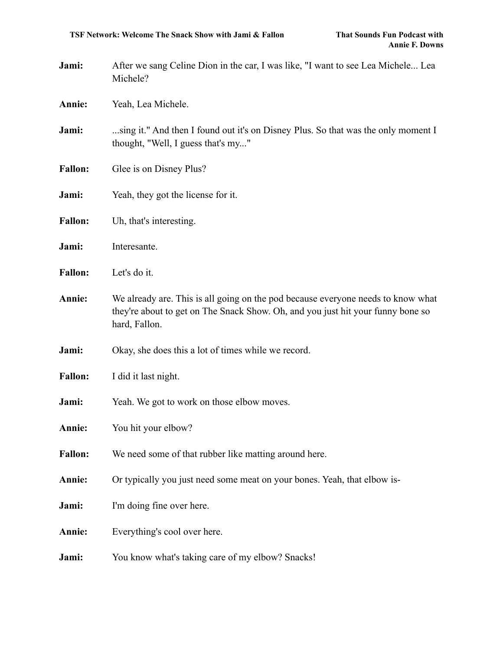- **Jami:** After we sang Celine Dion in the car, I was like, "I want to see Lea Michele... Lea Michele?
- **Annie:** Yeah, Lea Michele.
- **Jami:** ...sing it." And then I found out it's on Disney Plus. So that was the only moment I thought, "Well, I guess that's my..."
- Fallon: Glee is on Disney Plus?
- **Jami:** Yeah, they got the license for it.
- **Fallon:** Uh, that's interesting.
- **Jami:** Interesante.
- **Fallon:** Let's do it.
- **Annie:** We already are. This is all going on the pod because everyone needs to know what they're about to get on The Snack Show. Oh, and you just hit your funny bone so hard, Fallon.
- **Jami:** Okay, she does this a lot of times while we record.
- **Fallon:** I did it last night.
- **Jami:** Yeah. We got to work on those elbow moves.
- **Annie:** You hit your elbow?
- **Fallon:** We need some of that rubber like matting around here.
- **Annie:** Or typically you just need some meat on your bones. Yeah, that elbow is-
- **Jami:** I'm doing fine over here.
- **Annie:** Everything's cool over here.
- **Jami:** You know what's taking care of my elbow? Snacks!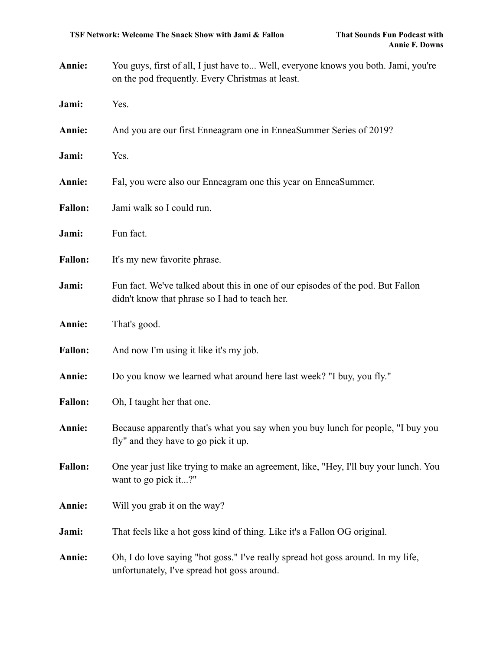- **Annie:** You guys, first of all, I just have to... Well, everyone knows you both. Jami, you're on the pod frequently. Every Christmas at least. **Jami:** Yes. **Annie:** And you are our first Enneagram one in EnneaSummer Series of 2019?
- **Annie:** Fal, you were also our Enneagram one this year on EnneaSummer.
- Fallon: Jami walk so I could run.
- Jami: Fun fact.

**Jami:** Yes.

- Fallon: It's my new favorite phrase.
- **Jami:** Fun fact. We've talked about this in one of our episodes of the pod. But Fallon didn't know that phrase so I had to teach her.
- **Annie:** That's good.
- **Fallon:** And now I'm using it like it's my job.
- **Annie:** Do you know we learned what around here last week? "I buy, you fly."
- Fallon: Oh, I taught her that one.
- **Annie:** Because apparently that's what you say when you buy lunch for people, "I buy you fly" and they have to go pick it up.
- **Fallon:** One year just like trying to make an agreement, like, "Hey, I'll buy your lunch. You want to go pick it...?"
- **Annie:** Will you grab it on the way?
- **Jami:** That feels like a hot goss kind of thing. Like it's a Fallon OG original.
- **Annie:** Oh, I do love saying "hot goss." I've really spread hot goss around. In my life, unfortunately, I've spread hot goss around.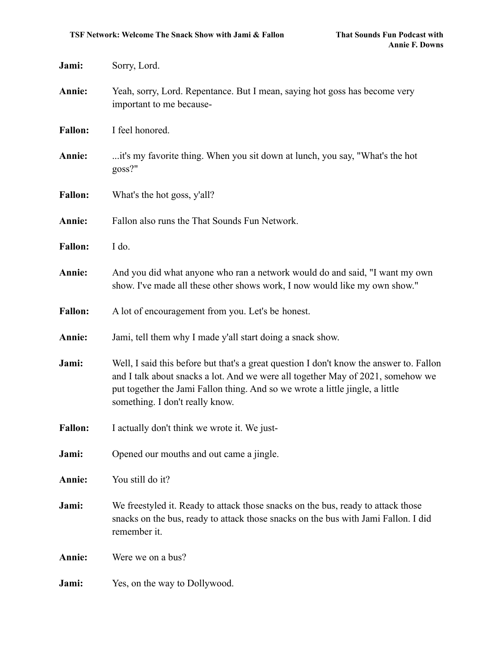| Jami:          | Sorry, Lord.                                                                                                                                                                                                                                                                                   |
|----------------|------------------------------------------------------------------------------------------------------------------------------------------------------------------------------------------------------------------------------------------------------------------------------------------------|
| Annie:         | Yeah, sorry, Lord. Repentance. But I mean, saying hot goss has become very<br>important to me because-                                                                                                                                                                                         |
| <b>Fallon:</b> | I feel honored.                                                                                                                                                                                                                                                                                |
| Annie:         | it's my favorite thing. When you sit down at lunch, you say, "What's the hot<br>$g$ oss?"                                                                                                                                                                                                      |
| <b>Fallon:</b> | What's the hot goss, y'all?                                                                                                                                                                                                                                                                    |
| Annie:         | Fallon also runs the That Sounds Fun Network.                                                                                                                                                                                                                                                  |
| <b>Fallon:</b> | I do.                                                                                                                                                                                                                                                                                          |
| Annie:         | And you did what anyone who ran a network would do and said, "I want my own<br>show. I've made all these other shows work, I now would like my own show."                                                                                                                                      |
| <b>Fallon:</b> | A lot of encouragement from you. Let's be honest.                                                                                                                                                                                                                                              |
| Annie:         | Jami, tell them why I made y'all start doing a snack show.                                                                                                                                                                                                                                     |
| Jami:          | Well, I said this before but that's a great question I don't know the answer to. Fallon<br>and I talk about snacks a lot. And we were all together May of 2021, somehow we<br>put together the Jami Fallon thing. And so we wrote a little jingle, a little<br>something. I don't really know. |
| <b>Fallon:</b> | I actually don't think we wrote it. We just-                                                                                                                                                                                                                                                   |
| Jami:          | Opened our mouths and out came a jingle.                                                                                                                                                                                                                                                       |
| Annie:         | You still do it?                                                                                                                                                                                                                                                                               |
| Jami:          | We freestyled it. Ready to attack those snacks on the bus, ready to attack those<br>snacks on the bus, ready to attack those snacks on the bus with Jami Fallon. I did<br>remember it.                                                                                                         |
| Annie:         | Were we on a bus?                                                                                                                                                                                                                                                                              |
| Jami:          | Yes, on the way to Dollywood.                                                                                                                                                                                                                                                                  |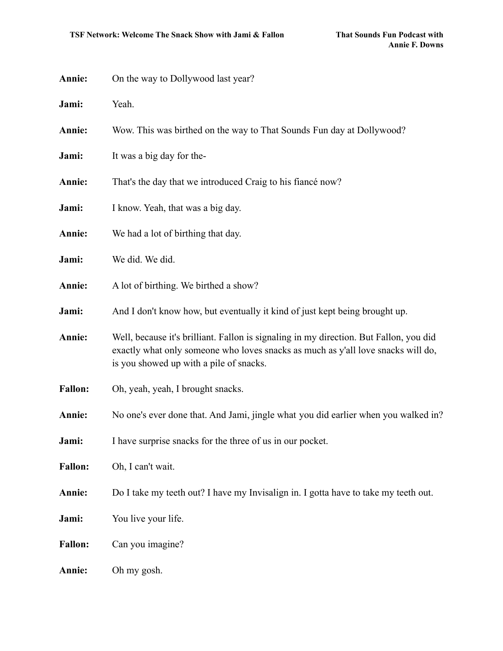| Annie:         | On the way to Dollywood last year?                                                                                                                                                                                    |
|----------------|-----------------------------------------------------------------------------------------------------------------------------------------------------------------------------------------------------------------------|
| Jami:          | Yeah.                                                                                                                                                                                                                 |
| Annie:         | Wow. This was birthed on the way to That Sounds Fun day at Dollywood?                                                                                                                                                 |
| Jami:          | It was a big day for the-                                                                                                                                                                                             |
| Annie:         | That's the day that we introduced Craig to his fiance now?                                                                                                                                                            |
| Jami:          | I know. Yeah, that was a big day.                                                                                                                                                                                     |
| Annie:         | We had a lot of birthing that day.                                                                                                                                                                                    |
| Jami:          | We did. We did.                                                                                                                                                                                                       |
| Annie:         | A lot of birthing. We birthed a show?                                                                                                                                                                                 |
| Jami:          | And I don't know how, but eventually it kind of just kept being brought up.                                                                                                                                           |
| Annie:         | Well, because it's brilliant. Fallon is signaling in my direction. But Fallon, you did<br>exactly what only someone who loves snacks as much as y'all love snacks will do,<br>is you showed up with a pile of snacks. |
| <b>Fallon:</b> | Oh, yeah, yeah, I brought snacks.                                                                                                                                                                                     |
| Annie:         | No one's ever done that. And Jami, jingle what you did earlier when you walked in?                                                                                                                                    |
| Jami:          | I have surprise snacks for the three of us in our pocket.                                                                                                                                                             |
| <b>Fallon:</b> | Oh, I can't wait.                                                                                                                                                                                                     |
| Annie:         | Do I take my teeth out? I have my Invisalign in. I gotta have to take my teeth out.                                                                                                                                   |
| Jami:          | You live your life.                                                                                                                                                                                                   |
| <b>Fallon:</b> | Can you imagine?                                                                                                                                                                                                      |
| Annie:         | Oh my gosh.                                                                                                                                                                                                           |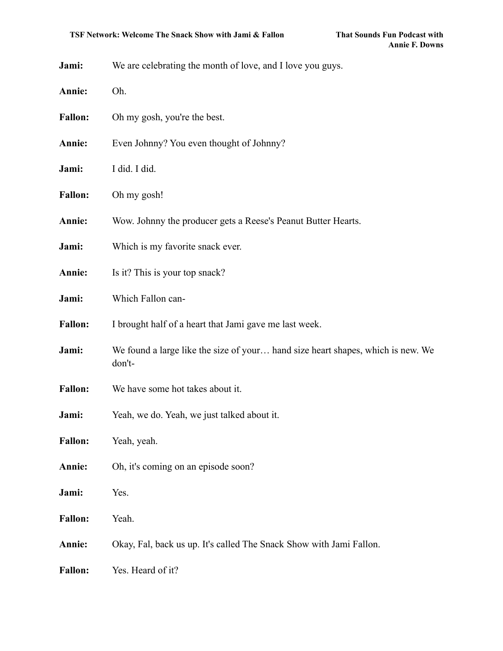|  | Jami: |  |  | We are celebrating the month of love, and I love you guys. |
|--|-------|--|--|------------------------------------------------------------|
|--|-------|--|--|------------------------------------------------------------|

- **Annie:** Oh.
- Fallon: Oh my gosh, you're the best.
- **Annie:** Even Johnny? You even thought of Johnny?
- **Jami:** I did. I did.
- **Fallon:** Oh my gosh!
- **Annie:** Wow. Johnny the producer gets a Reese's Peanut Butter Hearts.
- **Jami:** Which is my favorite snack ever.
- **Annie:** Is it? This is your top snack?
- **Jami:** Which Fallon can-
- **Fallon:** I brought half of a heart that Jami gave me last week.
- **Jami:** We found a large like the size of your... hand size heart shapes, which is new. We don't-
- **Fallon:** We have some hot takes about it.
- **Jami:** Yeah, we do. Yeah, we just talked about it.
- **Fallon:** Yeah, yeah.
- **Annie:** Oh, it's coming on an episode soon?
- **Jami:** Yes.
- **Fallon:** Yeah.
- **Annie:** Okay, Fal, back us up. It's called The Snack Show with Jami Fallon.
- **Fallon:** Yes. Heard of it?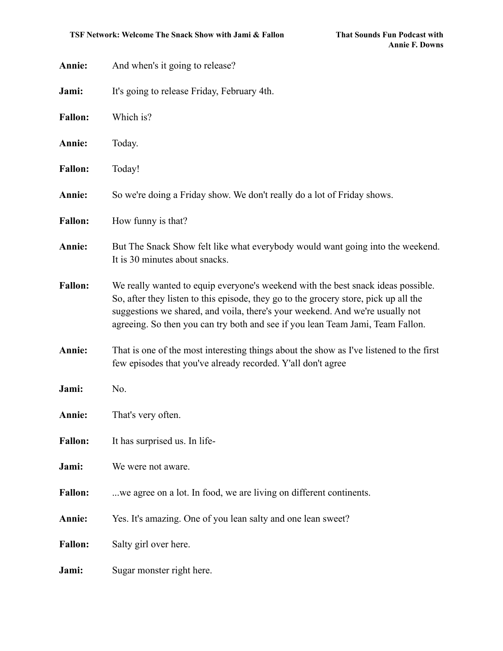| Annie:         | And when's it going to release?                                                                                                                                                                                                                                                                                                             |
|----------------|---------------------------------------------------------------------------------------------------------------------------------------------------------------------------------------------------------------------------------------------------------------------------------------------------------------------------------------------|
| Jami:          | It's going to release Friday, February 4th.                                                                                                                                                                                                                                                                                                 |
| <b>Fallon:</b> | Which is?                                                                                                                                                                                                                                                                                                                                   |
| Annie:         | Today.                                                                                                                                                                                                                                                                                                                                      |
| <b>Fallon:</b> | Today!                                                                                                                                                                                                                                                                                                                                      |
| Annie:         | So we're doing a Friday show. We don't really do a lot of Friday shows.                                                                                                                                                                                                                                                                     |
| <b>Fallon:</b> | How funny is that?                                                                                                                                                                                                                                                                                                                          |
| Annie:         | But The Snack Show felt like what everybody would want going into the weekend.<br>It is 30 minutes about snacks.                                                                                                                                                                                                                            |
| <b>Fallon:</b> | We really wanted to equip everyone's weekend with the best snack ideas possible.<br>So, after they listen to this episode, they go to the grocery store, pick up all the<br>suggestions we shared, and voila, there's your weekend. And we're usually not<br>agreeing. So then you can try both and see if you lean Team Jami, Team Fallon. |
| Annie:         | That is one of the most interesting things about the show as I've listened to the first<br>few episodes that you've already recorded. Y'all don't agree                                                                                                                                                                                     |
| Jami:          | No.                                                                                                                                                                                                                                                                                                                                         |
| Annie:         | That's very often.                                                                                                                                                                                                                                                                                                                          |
| <b>Fallon:</b> | It has surprised us. In life-                                                                                                                                                                                                                                                                                                               |
| Jami:          | We were not aware.                                                                                                                                                                                                                                                                                                                          |
| <b>Fallon:</b> | we agree on a lot. In food, we are living on different continents.                                                                                                                                                                                                                                                                          |
| Annie:         | Yes. It's amazing. One of you lean salty and one lean sweet?                                                                                                                                                                                                                                                                                |
| <b>Fallon:</b> | Salty girl over here.                                                                                                                                                                                                                                                                                                                       |
| Jami:          | Sugar monster right here.                                                                                                                                                                                                                                                                                                                   |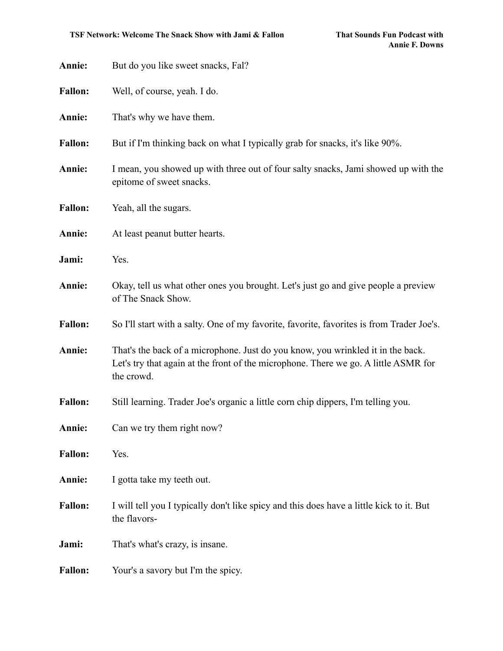| Annie:         | But do you like sweet snacks, Fal?                                                                                                                                                   |  |
|----------------|--------------------------------------------------------------------------------------------------------------------------------------------------------------------------------------|--|
| <b>Fallon:</b> | Well, of course, yeah. I do.                                                                                                                                                         |  |
| Annie:         | That's why we have them.                                                                                                                                                             |  |
| <b>Fallon:</b> | But if I'm thinking back on what I typically grab for snacks, it's like 90%.                                                                                                         |  |
| Annie:         | I mean, you showed up with three out of four salty snacks, Jami showed up with the<br>epitome of sweet snacks.                                                                       |  |
| <b>Fallon:</b> | Yeah, all the sugars.                                                                                                                                                                |  |
| Annie:         | At least peanut butter hearts.                                                                                                                                                       |  |
| Jami:          | Yes.                                                                                                                                                                                 |  |
| Annie:         | Okay, tell us what other ones you brought. Let's just go and give people a preview<br>of The Snack Show.                                                                             |  |
| <b>Fallon:</b> | So I'll start with a salty. One of my favorite, favorite, favorites is from Trader Joe's.                                                                                            |  |
| Annie:         | That's the back of a microphone. Just do you know, you wrinkled it in the back.<br>Let's try that again at the front of the microphone. There we go. A little ASMR for<br>the crowd. |  |
| <b>Fallon:</b> | Still learning. Trader Joe's organic a little corn chip dippers, I'm telling you.                                                                                                    |  |
| Annie:         | Can we try them right now?                                                                                                                                                           |  |
| <b>Fallon:</b> | Yes.                                                                                                                                                                                 |  |
| Annie:         | I gotta take my teeth out.                                                                                                                                                           |  |
| <b>Fallon:</b> | I will tell you I typically don't like spicy and this does have a little kick to it. But<br>the flavors-                                                                             |  |
| Jami:          | That's what's crazy, is insane.                                                                                                                                                      |  |
| <b>Fallon:</b> | Your's a savory but I'm the spicy.                                                                                                                                                   |  |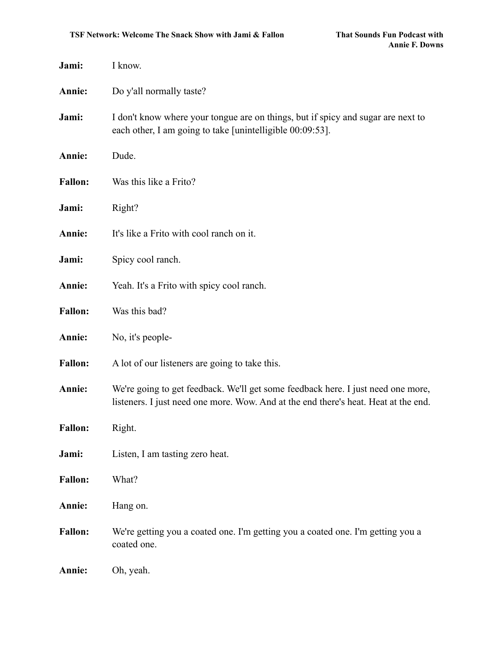| Jami:          | I know.                                                                                                                                                                 |
|----------------|-------------------------------------------------------------------------------------------------------------------------------------------------------------------------|
| Annie:         | Do y'all normally taste?                                                                                                                                                |
| Jami:          | I don't know where your tongue are on things, but if spicy and sugar are next to<br>each other, I am going to take [unintelligible 00:09:53].                           |
| Annie:         | Dude.                                                                                                                                                                   |
| <b>Fallon:</b> | Was this like a Frito?                                                                                                                                                  |
| Jami:          | Right?                                                                                                                                                                  |
| Annie:         | It's like a Frito with cool ranch on it.                                                                                                                                |
| Jami:          | Spicy cool ranch.                                                                                                                                                       |
| Annie:         | Yeah. It's a Frito with spicy cool ranch.                                                                                                                               |
| <b>Fallon:</b> | Was this bad?                                                                                                                                                           |
| Annie:         | No, it's people-                                                                                                                                                        |
| <b>Fallon:</b> | A lot of our listeners are going to take this.                                                                                                                          |
| Annie:         | We're going to get feedback. We'll get some feedback here. I just need one more,<br>listeners. I just need one more. Wow. And at the end there's heat. Heat at the end. |
| <b>Fallon:</b> | Right.                                                                                                                                                                  |
| Jami:          | Listen, I am tasting zero heat.                                                                                                                                         |
| <b>Fallon:</b> | What?                                                                                                                                                                   |
| Annie:         | Hang on.                                                                                                                                                                |
| <b>Fallon:</b> | We're getting you a coated one. I'm getting you a coated one. I'm getting you a<br>coated one.                                                                          |
| Annie:         | Oh, yeah.                                                                                                                                                               |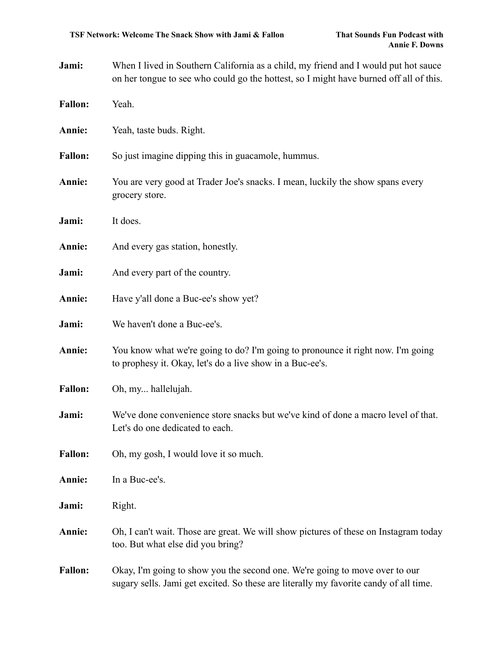Jami: When I lived in Southern California as a child, my friend and I would put hot sauce on her tongue to see who could go the hottest, so I might have burned off all of this.

| <b>Fallon:</b> | Yeah.                                                                                                                                                                |  |
|----------------|----------------------------------------------------------------------------------------------------------------------------------------------------------------------|--|
| Annie:         | Yeah, taste buds. Right.                                                                                                                                             |  |
| <b>Fallon:</b> | So just imagine dipping this in guacamole, hummus.                                                                                                                   |  |
| Annie:         | You are very good at Trader Joe's snacks. I mean, luckily the show spans every<br>grocery store.                                                                     |  |
| Jami:          | It does.                                                                                                                                                             |  |
| Annie:         | And every gas station, honestly.                                                                                                                                     |  |
| Jami:          | And every part of the country.                                                                                                                                       |  |
| Annie:         | Have y'all done a Buc-ee's show yet?                                                                                                                                 |  |
| Jami:          | We haven't done a Buc-ee's.                                                                                                                                          |  |
| Annie:         | You know what we're going to do? I'm going to pronounce it right now. I'm going<br>to prophesy it. Okay, let's do a live show in a Buc-ee's.                         |  |
| <b>Fallon:</b> | Oh, my hallelujah.                                                                                                                                                   |  |
| Jami:          | We've done convenience store snacks but we've kind of done a macro level of that.<br>Let's do one dedicated to each.                                                 |  |
| <b>Fallon:</b> | Oh, my gosh, I would love it so much.                                                                                                                                |  |
| Annie:         | In a Buc-ee's.                                                                                                                                                       |  |
| Jami:          | Right.                                                                                                                                                               |  |
| Annie:         | Oh, I can't wait. Those are great. We will show pictures of these on Instagram today<br>too. But what else did you bring?                                            |  |
| <b>Fallon:</b> | Okay, I'm going to show you the second one. We're going to move over to our<br>sugary sells. Jami get excited. So these are literally my favorite candy of all time. |  |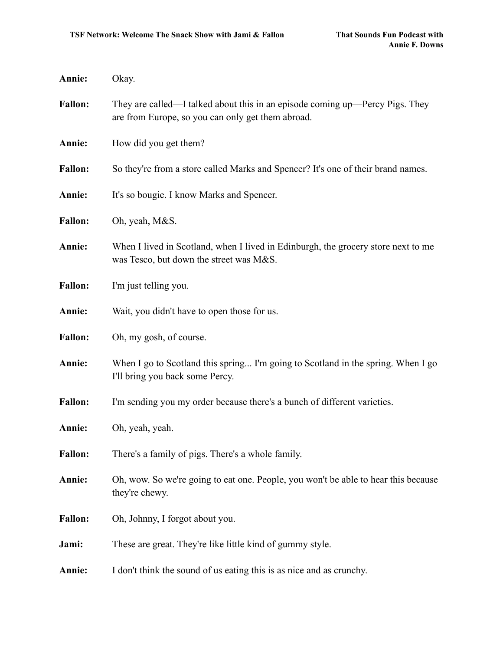| Annie:         | Okay.                                                                                                                             |
|----------------|-----------------------------------------------------------------------------------------------------------------------------------|
| <b>Fallon:</b> | They are called—I talked about this in an episode coming up—Percy Pigs. They<br>are from Europe, so you can only get them abroad. |
| Annie:         | How did you get them?                                                                                                             |
| <b>Fallon:</b> | So they're from a store called Marks and Spencer? It's one of their brand names.                                                  |
| Annie:         | It's so bougie. I know Marks and Spencer.                                                                                         |
| <b>Fallon:</b> | Oh, yeah, M&S.                                                                                                                    |
| Annie:         | When I lived in Scotland, when I lived in Edinburgh, the grocery store next to me<br>was Tesco, but down the street was M&S.      |
| <b>Fallon:</b> | I'm just telling you.                                                                                                             |
| Annie:         | Wait, you didn't have to open those for us.                                                                                       |
| <b>Fallon:</b> | Oh, my gosh, of course.                                                                                                           |
| Annie:         | When I go to Scotland this spring I'm going to Scotland in the spring. When I go<br>I'll bring you back some Percy.               |
| <b>Fallon:</b> | I'm sending you my order because there's a bunch of different varieties.                                                          |
| Annie:         | Oh, yeah, yeah.                                                                                                                   |
| <b>Fallon:</b> | There's a family of pigs. There's a whole family.                                                                                 |
| Annie:         | Oh, wow. So we're going to eat one. People, you won't be able to hear this because<br>they're chewy.                              |
| <b>Fallon:</b> | Oh, Johnny, I forgot about you.                                                                                                   |
| Jami:          | These are great. They're like little kind of gummy style.                                                                         |
| Annie:         | I don't think the sound of us eating this is as nice and as crunchy.                                                              |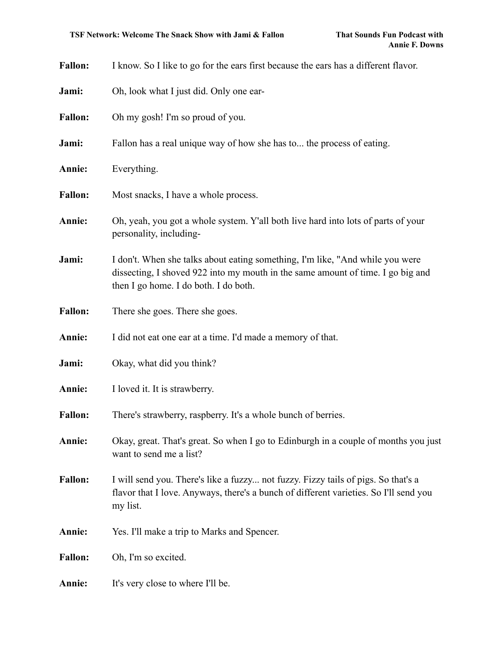| <b>Fallon:</b> | I know. So I like to go for the ears first because the ears has a different flavor.                                                                                                                       |  |
|----------------|-----------------------------------------------------------------------------------------------------------------------------------------------------------------------------------------------------------|--|
| Jami:          | Oh, look what I just did. Only one ear-                                                                                                                                                                   |  |
| <b>Fallon:</b> | Oh my gosh! I'm so proud of you.                                                                                                                                                                          |  |
| Jami:          | Fallon has a real unique way of how she has to the process of eating.                                                                                                                                     |  |
| Annie:         | Everything.                                                                                                                                                                                               |  |
| <b>Fallon:</b> | Most snacks, I have a whole process.                                                                                                                                                                      |  |
| Annie:         | Oh, yeah, you got a whole system. Y'all both live hard into lots of parts of your<br>personality, including-                                                                                              |  |
| Jami:          | I don't. When she talks about eating something, I'm like, "And while you were<br>dissecting, I shoved 922 into my mouth in the same amount of time. I go big and<br>then I go home. I do both. I do both. |  |
| <b>Fallon:</b> | There she goes. There she goes.                                                                                                                                                                           |  |
| Annie:         | I did not eat one ear at a time. I'd made a memory of that.                                                                                                                                               |  |
| Jami:          | Okay, what did you think?                                                                                                                                                                                 |  |
| Annie:         | I loved it. It is strawberry.                                                                                                                                                                             |  |
| <b>Fallon:</b> | There's strawberry, raspberry. It's a whole bunch of berries.                                                                                                                                             |  |
| Annie:         | Okay, great. That's great. So when I go to Edinburgh in a couple of months you just<br>want to send me a list?                                                                                            |  |
| <b>Fallon:</b> | I will send you. There's like a fuzzy not fuzzy. Fizzy tails of pigs. So that's a<br>flavor that I love. Anyways, there's a bunch of different varieties. So I'll send you<br>my list.                    |  |
| Annie:         | Yes. I'll make a trip to Marks and Spencer.                                                                                                                                                               |  |
| <b>Fallon:</b> | Oh, I'm so excited.                                                                                                                                                                                       |  |
| Annie:         | It's very close to where I'll be.                                                                                                                                                                         |  |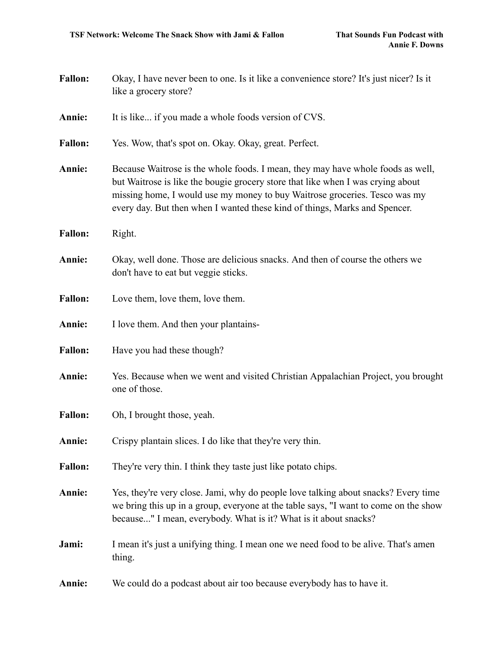| <b>Fallon:</b> | Okay, I have never been to one. Is it like a convenience store? It's just nicer? Is it<br>like a grocery store?                                                                                                                                                                                                                |  |
|----------------|--------------------------------------------------------------------------------------------------------------------------------------------------------------------------------------------------------------------------------------------------------------------------------------------------------------------------------|--|
| Annie:         | It is like if you made a whole foods version of CVS.                                                                                                                                                                                                                                                                           |  |
| <b>Fallon:</b> | Yes. Wow, that's spot on. Okay. Okay, great. Perfect.                                                                                                                                                                                                                                                                          |  |
| Annie:         | Because Waitrose is the whole foods. I mean, they may have whole foods as well,<br>but Waitrose is like the bougie grocery store that like when I was crying about<br>missing home, I would use my money to buy Waitrose groceries. Tesco was my<br>every day. But then when I wanted these kind of things, Marks and Spencer. |  |
| <b>Fallon:</b> | Right.                                                                                                                                                                                                                                                                                                                         |  |
| Annie:         | Okay, well done. Those are delicious snacks. And then of course the others we<br>don't have to eat but veggie sticks.                                                                                                                                                                                                          |  |
| <b>Fallon:</b> | Love them, love them, love them.                                                                                                                                                                                                                                                                                               |  |
| Annie:         | I love them. And then your plantains-                                                                                                                                                                                                                                                                                          |  |
| <b>Fallon:</b> | Have you had these though?                                                                                                                                                                                                                                                                                                     |  |
| Annie:         | Yes. Because when we went and visited Christian Appalachian Project, you brought<br>one of those.                                                                                                                                                                                                                              |  |
| <b>Fallon:</b> | Oh, I brought those, yeah.                                                                                                                                                                                                                                                                                                     |  |
| Annie:         | Crispy plantain slices. I do like that they're very thin.                                                                                                                                                                                                                                                                      |  |
| <b>Fallon:</b> | They're very thin. I think they taste just like potato chips.                                                                                                                                                                                                                                                                  |  |
| Annie:         | Yes, they're very close. Jami, why do people love talking about snacks? Every time<br>we bring this up in a group, everyone at the table says, "I want to come on the show<br>because" I mean, everybody. What is it? What is it about snacks?                                                                                 |  |
| Jami:          | I mean it's just a unifying thing. I mean one we need food to be alive. That's amen<br>thing.                                                                                                                                                                                                                                  |  |
| Annie:         | We could do a podcast about air too because everybody has to have it.                                                                                                                                                                                                                                                          |  |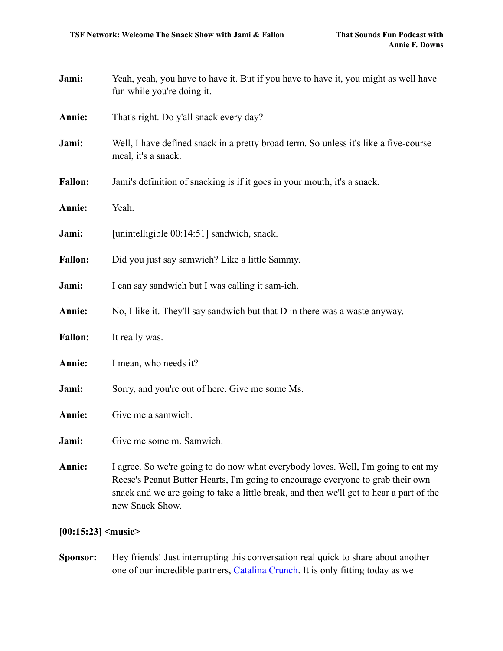| Jami:                        | Yeah, yeah, you have to have it. But if you have to have it, you might as well have<br>fun while you're doing it.                                                                                                                                                                  |  |
|------------------------------|------------------------------------------------------------------------------------------------------------------------------------------------------------------------------------------------------------------------------------------------------------------------------------|--|
| Annie:                       | That's right. Do y'all snack every day?                                                                                                                                                                                                                                            |  |
| Jami:                        | Well, I have defined snack in a pretty broad term. So unless it's like a five-course<br>meal, it's a snack.                                                                                                                                                                        |  |
| <b>Fallon:</b>               | Jami's definition of snacking is if it goes in your mouth, it's a snack.                                                                                                                                                                                                           |  |
| Annie:                       | Yeah.                                                                                                                                                                                                                                                                              |  |
| Jami:                        | [unintelligible 00:14:51] sandwich, snack.                                                                                                                                                                                                                                         |  |
| <b>Fallon:</b>               | Did you just say samwich? Like a little Sammy.                                                                                                                                                                                                                                     |  |
| Jami:                        | I can say sandwich but I was calling it sam-ich.                                                                                                                                                                                                                                   |  |
| Annie:                       | No, I like it. They'll say sandwich but that D in there was a waste anyway.                                                                                                                                                                                                        |  |
| <b>Fallon:</b>               | It really was.                                                                                                                                                                                                                                                                     |  |
| Annie:                       | I mean, who needs it?                                                                                                                                                                                                                                                              |  |
| Jami:                        | Sorry, and you're out of here. Give me some Ms.                                                                                                                                                                                                                                    |  |
| Annie:                       | Give me a samwich.                                                                                                                                                                                                                                                                 |  |
| Jami:                        | Give me some m. Samwich.                                                                                                                                                                                                                                                           |  |
| Annie:                       | I agree. So we're going to do now what everybody loves. Well, I'm going to eat my<br>Reese's Peanut Butter Hearts, I'm going to encourage everyone to grab their own<br>snack and we are going to take a little break, and then we'll get to hear a part of the<br>new Snack Show. |  |
| $[00:15:23]$ <music></music> |                                                                                                                                                                                                                                                                                    |  |

**Sponsor:** Hey friends! Just interrupting this conversation real quick to share about another one of our incredible partners, [Catalina Crunch.](http://www.catalinacrunch.com/thatsoundsfun) It is only fitting today as we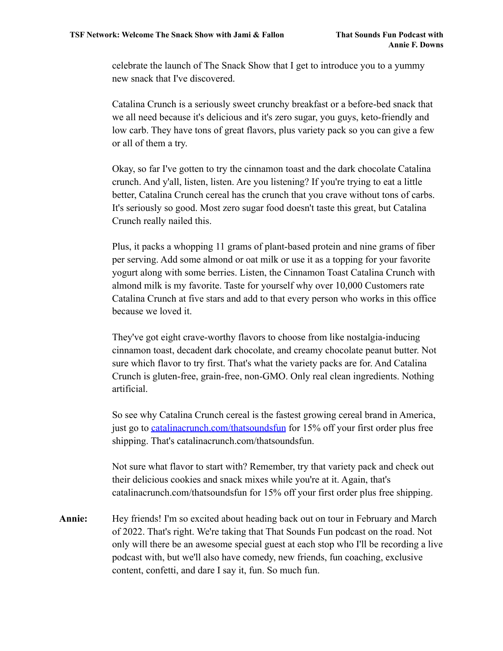celebrate the launch of The Snack Show that I get to introduce you to a yummy new snack that I've discovered.

Catalina Crunch is a seriously sweet crunchy breakfast or a before-bed snack that we all need because it's delicious and it's zero sugar, you guys, keto-friendly and low carb. They have tons of great flavors, plus variety pack so you can give a few or all of them a try.

Okay, so far I've gotten to try the cinnamon toast and the dark chocolate Catalina crunch. And y'all, listen, listen. Are you listening? If you're trying to eat a little better, Catalina Crunch cereal has the crunch that you crave without tons of carbs. It's seriously so good. Most zero sugar food doesn't taste this great, but Catalina Crunch really nailed this.

Plus, it packs a whopping 11 grams of plant-based protein and nine grams of fiber per serving. Add some almond or oat milk or use it as a topping for your favorite yogurt along with some berries. Listen, the Cinnamon Toast Catalina Crunch with almond milk is my favorite. Taste for yourself why over 10,000 Customers rate Catalina Crunch at five stars and add to that every person who works in this office because we loved it.

They've got eight crave-worthy flavors to choose from like nostalgia-inducing cinnamon toast, decadent dark chocolate, and creamy chocolate peanut butter. Not sure which flavor to try first. That's what the variety packs are for. And Catalina Crunch is gluten-free, grain-free, non-GMO. Only real clean ingredients. Nothing artificial.

So see why Catalina Crunch cereal is the fastest growing cereal brand in America, just go to [catalinacrunch.com/thatsoundsfun](http://www.catalinacrunch.com/thatsoundsfun) for 15% off your first order plus free shipping. That's catalinacrunch.com/thatsoundsfun.

Not sure what flavor to start with? Remember, try that variety pack and check out their delicious cookies and snack mixes while you're at it. Again, that's catalinacrunch.com/thatsoundsfun for 15% off your first order plus free shipping.

**Annie:** Hey friends! I'm so excited about heading back out on tour in February and March of 2022. That's right. We're taking that That Sounds Fun podcast on the road. Not only will there be an awesome special guest at each stop who I'll be recording a live podcast with, but we'll also have comedy, new friends, fun coaching, exclusive content, confetti, and dare I say it, fun. So much fun.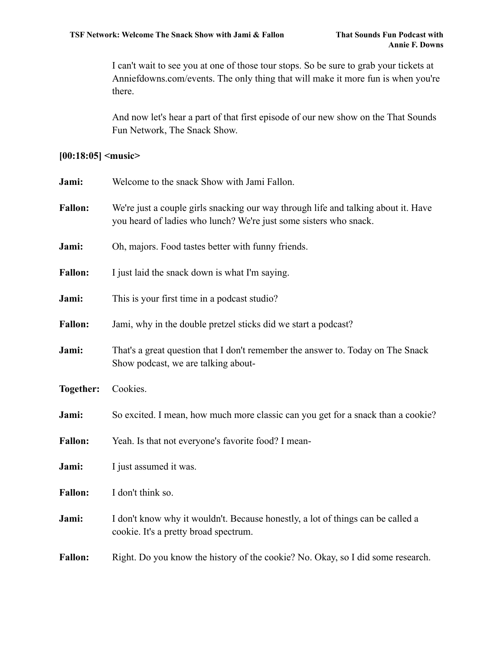I can't wait to see you at one of those tour stops. So be sure to grab your tickets at Anniefdowns.com/events. The only thing that will make it more fun is when you're there.

And now let's hear a part of that first episode of our new show on the That Sounds Fun Network, The Snack Show.

## **[00:18:05] <music>**

| Jami:          | Welcome to the snack Show with Jami Fallon.                                                                                                             |
|----------------|---------------------------------------------------------------------------------------------------------------------------------------------------------|
| <b>Fallon:</b> | We're just a couple girls snacking our way through life and talking about it. Have<br>you heard of ladies who lunch? We're just some sisters who snack. |
| Jami:          | Oh, majors. Food tastes better with funny friends.                                                                                                      |
| <b>Fallon:</b> | I just laid the snack down is what I'm saying.                                                                                                          |
| Jami:          | This is your first time in a podcast studio?                                                                                                            |
| <b>Fallon:</b> | Jami, why in the double pretzel sticks did we start a podcast?                                                                                          |
| Jami:          | That's a great question that I don't remember the answer to. Today on The Snack<br>Show podcast, we are talking about-                                  |
| Together:      | Cookies.                                                                                                                                                |
| Jami:          | So excited. I mean, how much more classic can you get for a snack than a cookie?                                                                        |
| <b>Fallon:</b> | Yeah. Is that not everyone's favorite food? I mean-                                                                                                     |
| Jami:          | I just assumed it was.                                                                                                                                  |
| <b>Fallon:</b> | I don't think so.                                                                                                                                       |
| Jami:          | I don't know why it wouldn't. Because honestly, a lot of things can be called a<br>cookie. It's a pretty broad spectrum.                                |
| <b>Fallon:</b> | Right. Do you know the history of the cookie? No. Okay, so I did some research.                                                                         |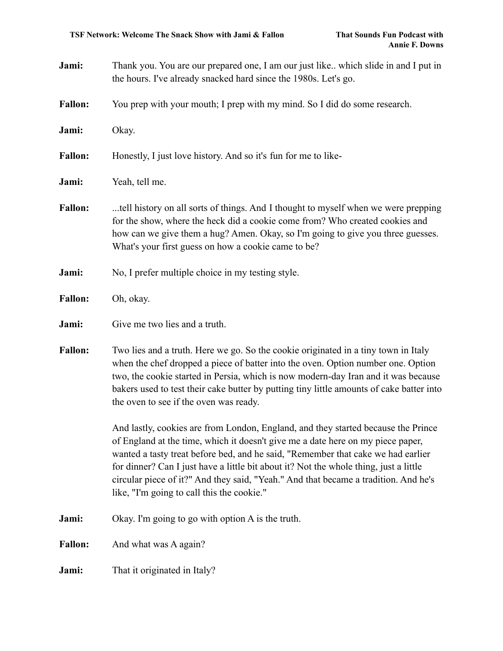- **Jami:** Thank you. You are our prepared one, I am our just like.. which slide in and I put in the hours. I've already snacked hard since the 1980s. Let's go.
- **Fallon:** You prep with your mouth; I prep with my mind. So I did do some research.

**Jami:** Okay.

**Fallon:** Honestly, I just love history. And so it's fun for me to like-

- **Jami:** Yeah, tell me.
- **Fallon:** ...tell history on all sorts of things. And I thought to myself when we were prepping for the show, where the heck did a cookie come from? Who created cookies and how can we give them a hug? Amen. Okay, so I'm going to give you three guesses. What's your first guess on how a cookie came to be?
- **Jami:** No, I prefer multiple choice in my testing style.
- **Fallon:** Oh, okay.

#### **Jami:** Give me two lies and a truth.

**Fallon:** Two lies and a truth. Here we go. So the cookie originated in a tiny town in Italy when the chef dropped a piece of batter into the oven. Option number one. Option two, the cookie started in Persia, which is now modern-day Iran and it was because bakers used to test their cake butter by putting tiny little amounts of cake batter into the oven to see if the oven was ready.

> And lastly, cookies are from London, England, and they started because the Prince of England at the time, which it doesn't give me a date here on my piece paper, wanted a tasty treat before bed, and he said, "Remember that cake we had earlier for dinner? Can I just have a little bit about it? Not the whole thing, just a little circular piece of it?" And they said, "Yeah." And that became a tradition. And he's like, "I'm going to call this the cookie."

- **Jami:** Okay. I'm going to go with option A is the truth.
- Fallon: And what was A again?
- **Jami:** That it originated in Italy?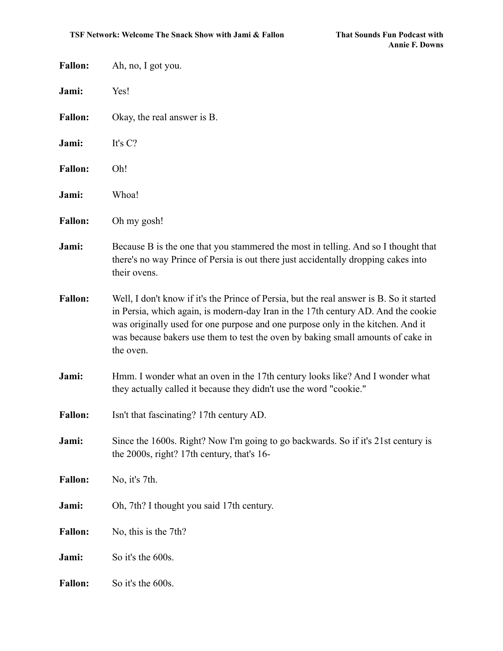| <b>Fallon:</b> | Ah, no, I got you.                                                                                                                                                                                                                                                                                                                                               |
|----------------|------------------------------------------------------------------------------------------------------------------------------------------------------------------------------------------------------------------------------------------------------------------------------------------------------------------------------------------------------------------|
| Jami:          | Yes!                                                                                                                                                                                                                                                                                                                                                             |
| <b>Fallon:</b> | Okay, the real answer is B.                                                                                                                                                                                                                                                                                                                                      |
| Jami:          | It's C?                                                                                                                                                                                                                                                                                                                                                          |
| <b>Fallon:</b> | Oh!                                                                                                                                                                                                                                                                                                                                                              |
| Jami:          | Whoa!                                                                                                                                                                                                                                                                                                                                                            |
| <b>Fallon:</b> | Oh my gosh!                                                                                                                                                                                                                                                                                                                                                      |
| Jami:          | Because B is the one that you stammered the most in telling. And so I thought that<br>there's no way Prince of Persia is out there just accidentally dropping cakes into<br>their ovens.                                                                                                                                                                         |
| <b>Fallon:</b> | Well, I don't know if it's the Prince of Persia, but the real answer is B. So it started<br>in Persia, which again, is modern-day Iran in the 17th century AD. And the cookie<br>was originally used for one purpose and one purpose only in the kitchen. And it<br>was because bakers use them to test the oven by baking small amounts of cake in<br>the oven. |
| Jami:          | Hmm. I wonder what an oven in the 17th century looks like? And I wonder what<br>they actually called it because they didn't use the word "cookie."                                                                                                                                                                                                               |
| <b>Fallon:</b> | Isn't that fascinating? 17th century AD.                                                                                                                                                                                                                                                                                                                         |
| Jami:          | Since the 1600s. Right? Now I'm going to go backwards. So if it's 21st century is<br>the 2000s, right? 17th century, that's 16-                                                                                                                                                                                                                                  |
| <b>Fallon:</b> | No, it's 7th.                                                                                                                                                                                                                                                                                                                                                    |
| Jami:          | Oh, 7th? I thought you said 17th century.                                                                                                                                                                                                                                                                                                                        |
| <b>Fallon:</b> | No, this is the 7th?                                                                                                                                                                                                                                                                                                                                             |
| Jami:          | So it's the 600s.                                                                                                                                                                                                                                                                                                                                                |
| <b>Fallon:</b> | So it's the 600s.                                                                                                                                                                                                                                                                                                                                                |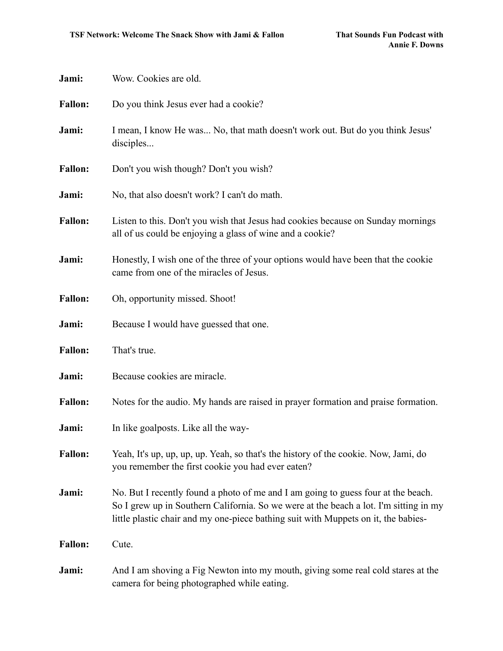| Jami:          | Wow. Cookies are old.                                                                                                                                                                                                                                            |
|----------------|------------------------------------------------------------------------------------------------------------------------------------------------------------------------------------------------------------------------------------------------------------------|
| <b>Fallon:</b> | Do you think Jesus ever had a cookie?                                                                                                                                                                                                                            |
| Jami:          | I mean, I know He was No, that math doesn't work out. But do you think Jesus'<br>disciples                                                                                                                                                                       |
| <b>Fallon:</b> | Don't you wish though? Don't you wish?                                                                                                                                                                                                                           |
| Jami:          | No, that also doesn't work? I can't do math.                                                                                                                                                                                                                     |
| <b>Fallon:</b> | Listen to this. Don't you wish that Jesus had cookies because on Sunday mornings<br>all of us could be enjoying a glass of wine and a cookie?                                                                                                                    |
| Jami:          | Honestly, I wish one of the three of your options would have been that the cookie<br>came from one of the miracles of Jesus.                                                                                                                                     |
| <b>Fallon:</b> | Oh, opportunity missed. Shoot!                                                                                                                                                                                                                                   |
| Jami:          | Because I would have guessed that one.                                                                                                                                                                                                                           |
| <b>Fallon:</b> | That's true.                                                                                                                                                                                                                                                     |
| Jami:          | Because cookies are miracle.                                                                                                                                                                                                                                     |
| <b>Fallon:</b> | Notes for the audio. My hands are raised in prayer formation and praise formation.                                                                                                                                                                               |
| Jami:          | In like goalposts. Like all the way-                                                                                                                                                                                                                             |
| <b>Fallon:</b> | Yeah, It's up, up, up, up. Yeah, so that's the history of the cookie. Now, Jami, do<br>you remember the first cookie you had ever eaten?                                                                                                                         |
| Jami:          | No. But I recently found a photo of me and I am going to guess four at the beach.<br>So I grew up in Southern California. So we were at the beach a lot. I'm sitting in my<br>little plastic chair and my one-piece bathing suit with Muppets on it, the babies- |
| <b>Fallon:</b> | Cute.                                                                                                                                                                                                                                                            |
| Jami:          | And I am shoving a Fig Newton into my mouth, giving some real cold stares at the<br>camera for being photographed while eating.                                                                                                                                  |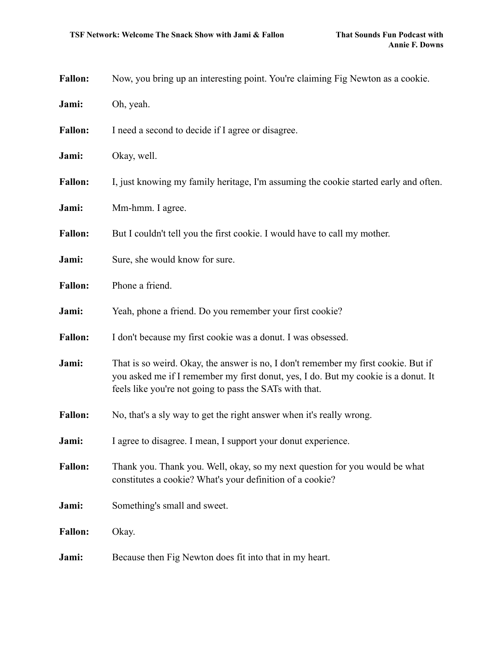| <b>Fallon:</b> | Now, you bring up an interesting point. You're claiming Fig Newton as a cookie.                                                                                                                                                     |
|----------------|-------------------------------------------------------------------------------------------------------------------------------------------------------------------------------------------------------------------------------------|
| Jami:          | Oh, yeah.                                                                                                                                                                                                                           |
| <b>Fallon:</b> | I need a second to decide if I agree or disagree.                                                                                                                                                                                   |
| Jami:          | Okay, well.                                                                                                                                                                                                                         |
| <b>Fallon:</b> | I, just knowing my family heritage, I'm assuming the cookie started early and often.                                                                                                                                                |
| Jami:          | Mm-hmm. I agree.                                                                                                                                                                                                                    |
| <b>Fallon:</b> | But I couldn't tell you the first cookie. I would have to call my mother.                                                                                                                                                           |
| Jami:          | Sure, she would know for sure.                                                                                                                                                                                                      |
| <b>Fallon:</b> | Phone a friend.                                                                                                                                                                                                                     |
| Jami:          | Yeah, phone a friend. Do you remember your first cookie?                                                                                                                                                                            |
| <b>Fallon:</b> | I don't because my first cookie was a donut. I was obsessed.                                                                                                                                                                        |
| Jami:          | That is so weird. Okay, the answer is no, I don't remember my first cookie. But if<br>you asked me if I remember my first donut, yes, I do. But my cookie is a donut. It<br>feels like you're not going to pass the SATs with that. |
| <b>Fallon:</b> | No, that's a sly way to get the right answer when it's really wrong.                                                                                                                                                                |
| Jami:          | I agree to disagree. I mean, I support your donut experience.                                                                                                                                                                       |
| <b>Fallon:</b> | Thank you. Thank you. Well, okay, so my next question for you would be what<br>constitutes a cookie? What's your definition of a cookie?                                                                                            |
| Jami:          | Something's small and sweet.                                                                                                                                                                                                        |
| <b>Fallon:</b> | Okay.                                                                                                                                                                                                                               |
| Jami:          | Because then Fig Newton does fit into that in my heart.                                                                                                                                                                             |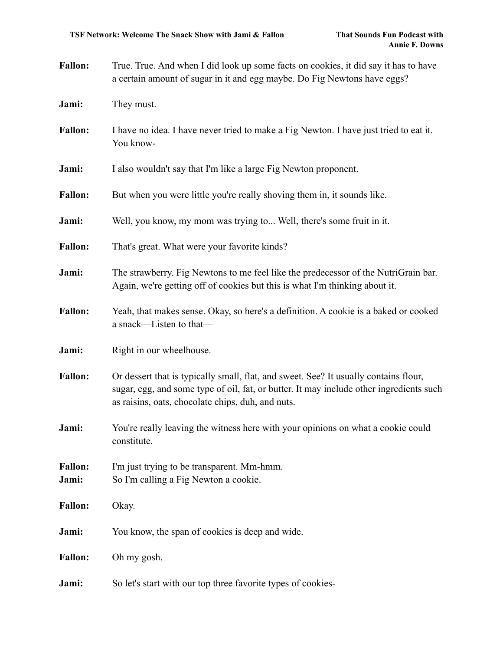| <b>Fallon:</b> | True. True And when I did look up some facts on cookies, it did say it has to have |
|----------------|------------------------------------------------------------------------------------|
|                | a certain amount of sugar in it and egg maybe. Do Fig Newtons have eggs?           |

**Jami:** They must.

**Fallon:** I have no idea. I have never tried to make a Fig Newton. I have just tried to eat it. You know-

**Jami:** I also wouldn't say that I'm like a large Fig Newton proponent.

**Fallon:** But when you were little you're really shoving them in, it sounds like.

**Jami:** Well, you know, my mom was trying to... Well, there's some fruit in it.

Fallon: That's great. What were your favorite kinds?

- **Jami:** The strawberry. Fig Newtons to me feel like the predecessor of the NutriGrain bar. Again, we're getting off of cookies but this is what I'm thinking about it.
- Fallon: Yeah, that makes sense. Okay, so here's a definition. A cookie is a baked or cooked a snack—Listen to that—
- **Jami:** Right in our wheelhouse.
- Fallon: Or dessert that is typically small, flat, and sweet. See? It usually contains flour, sugar, egg, and some type of oil, fat, or butter. It may include other ingredients such as raisins, oats, chocolate chips, duh, and nuts.
- **Jami:** You're really leaving the witness here with your opinions on what a cookie could constitute.

Fallon: I'm just trying to be transparent. Mm-hmm. **Jami:** So I'm calling a Fig Newton a cookie.

**Fallon:** Okay.

**Jami:** You know, the span of cookies is deep and wide.

**Fallon:** Oh my gosh.

**Jami:** So let's start with our top three favorite types of cookies-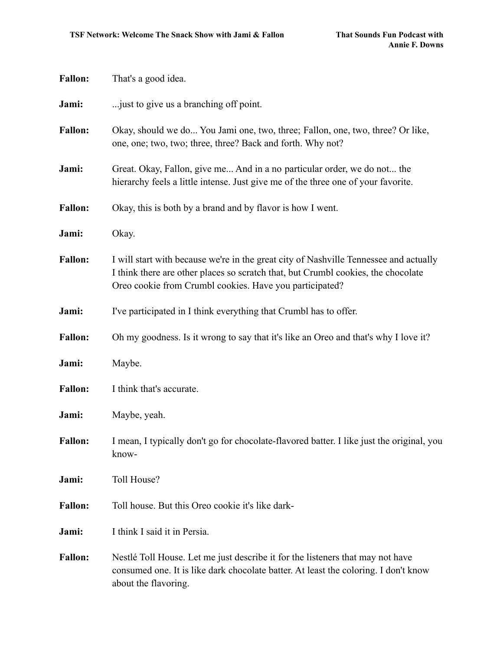| <b>Fallon:</b> | That's a good idea.                                                                                                                                                                                                                   |
|----------------|---------------------------------------------------------------------------------------------------------------------------------------------------------------------------------------------------------------------------------------|
| Jami:          | just to give us a branching off point.                                                                                                                                                                                                |
| <b>Fallon:</b> | Okay, should we do You Jami one, two, three; Fallon, one, two, three? Or like,<br>one, one; two, two; three, three? Back and forth. Why not?                                                                                          |
| Jami:          | Great. Okay, Fallon, give me And in a no particular order, we do not the<br>hierarchy feels a little intense. Just give me of the three one of your favorite.                                                                         |
| <b>Fallon:</b> | Okay, this is both by a brand and by flavor is how I went.                                                                                                                                                                            |
| Jami:          | Okay.                                                                                                                                                                                                                                 |
| <b>Fallon:</b> | I will start with because we're in the great city of Nashville Tennessee and actually<br>I think there are other places so scratch that, but Crumbl cookies, the chocolate<br>Oreo cookie from Crumbl cookies. Have you participated? |
| Jami:          | I've participated in I think everything that Crumbl has to offer.                                                                                                                                                                     |
| <b>Fallon:</b> | Oh my goodness. Is it wrong to say that it's like an Oreo and that's why I love it?                                                                                                                                                   |
| Jami:          | Maybe.                                                                                                                                                                                                                                |
| <b>Fallon:</b> | I think that's accurate.                                                                                                                                                                                                              |
| Jami:          | Maybe, yeah.                                                                                                                                                                                                                          |
| <b>Fallon:</b> | I mean, I typically don't go for chocolate-flavored batter. I like just the original, you<br>know-                                                                                                                                    |
| Jami:          | Toll House?                                                                                                                                                                                                                           |
| <b>Fallon:</b> | Toll house. But this Oreo cookie it's like dark-                                                                                                                                                                                      |
| Jami:          | I think I said it in Persia.                                                                                                                                                                                                          |
| <b>Fallon:</b> | Nestlé Toll House. Let me just describe it for the listeners that may not have<br>consumed one. It is like dark chocolate batter. At least the coloring. I don't know<br>about the flavoring.                                         |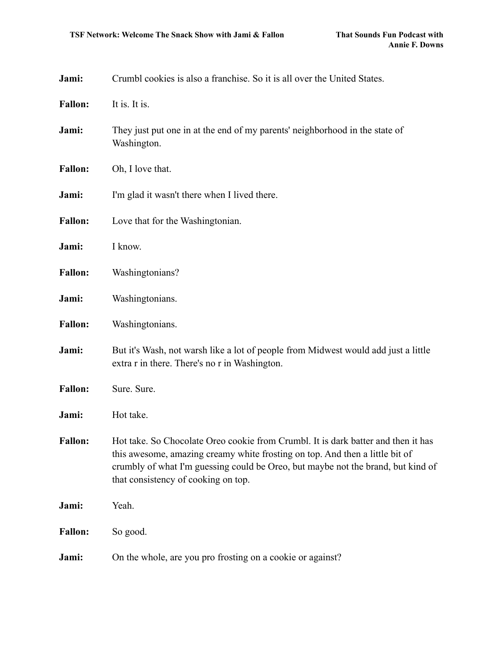| Jami:          | Crumbl cookies is also a franchise. So it is all over the United States.                                                                                                                                                                                                                     |
|----------------|----------------------------------------------------------------------------------------------------------------------------------------------------------------------------------------------------------------------------------------------------------------------------------------------|
| <b>Fallon:</b> | It is. It is.                                                                                                                                                                                                                                                                                |
| Jami:          | They just put one in at the end of my parents' neighborhood in the state of<br>Washington.                                                                                                                                                                                                   |
| <b>Fallon:</b> | Oh, I love that.                                                                                                                                                                                                                                                                             |
| Jami:          | I'm glad it wasn't there when I lived there.                                                                                                                                                                                                                                                 |
| <b>Fallon:</b> | Love that for the Washingtonian.                                                                                                                                                                                                                                                             |
| Jami:          | I know.                                                                                                                                                                                                                                                                                      |
| <b>Fallon:</b> | Washingtonians?                                                                                                                                                                                                                                                                              |
| Jami:          | Washingtonians.                                                                                                                                                                                                                                                                              |
| <b>Fallon:</b> | Washingtonians.                                                                                                                                                                                                                                                                              |
| Jami:          | But it's Wash, not warsh like a lot of people from Midwest would add just a little<br>extra r in there. There's no r in Washington.                                                                                                                                                          |
| <b>Fallon:</b> | Sure. Sure.                                                                                                                                                                                                                                                                                  |
| Jami:          | Hot take.                                                                                                                                                                                                                                                                                    |
| <b>Fallon:</b> | Hot take. So Chocolate Oreo cookie from Crumbl. It is dark batter and then it has<br>this awesome, amazing creamy white frosting on top. And then a little bit of<br>crumbly of what I'm guessing could be Oreo, but maybe not the brand, but kind of<br>that consistency of cooking on top. |
| Jami:          | Yeah.                                                                                                                                                                                                                                                                                        |
| <b>Fallon:</b> | So good.                                                                                                                                                                                                                                                                                     |
| Jami:          | On the whole, are you pro frosting on a cookie or against?                                                                                                                                                                                                                                   |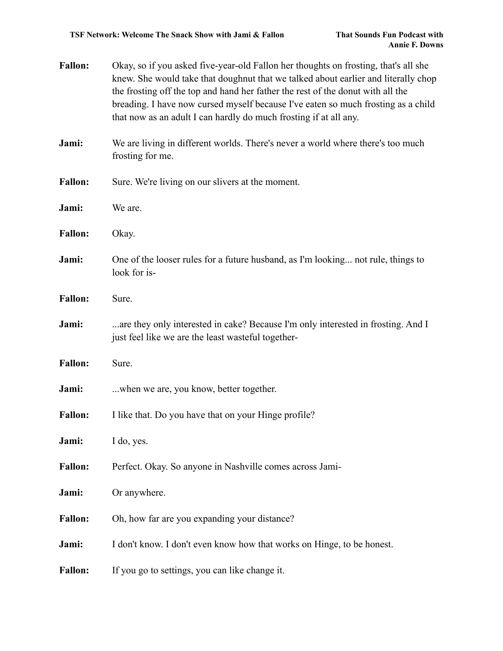| <b>Fallon:</b> | Okay, so if you asked five-year-old Fallon her thoughts on frosting, that's all she<br>knew. She would take that doughnut that we talked about earlier and literally chop<br>the frosting off the top and hand her father the rest of the donut with all the<br>breading. I have now cursed myself because I've eaten so much frosting as a child<br>that now as an adult I can hardly do much frosting if at all any. |
|----------------|------------------------------------------------------------------------------------------------------------------------------------------------------------------------------------------------------------------------------------------------------------------------------------------------------------------------------------------------------------------------------------------------------------------------|
| Jami:          | We are living in different worlds. There's never a world where there's too much<br>frosting for me.                                                                                                                                                                                                                                                                                                                    |
| <b>Fallon:</b> | Sure. We're living on our slivers at the moment.                                                                                                                                                                                                                                                                                                                                                                       |
| Jami:          | We are.                                                                                                                                                                                                                                                                                                                                                                                                                |
| <b>Fallon:</b> | Okay.                                                                                                                                                                                                                                                                                                                                                                                                                  |
| Jami:          | One of the looser rules for a future husband, as I'm looking not rule, things to<br>look for is-                                                                                                                                                                                                                                                                                                                       |
| <b>Fallon:</b> | Sure.                                                                                                                                                                                                                                                                                                                                                                                                                  |
| Jami:          | are they only interested in cake? Because I'm only interested in frosting. And I<br>just feel like we are the least wasteful together-                                                                                                                                                                                                                                                                                 |
| <b>Fallon:</b> | Sure.                                                                                                                                                                                                                                                                                                                                                                                                                  |
| Jami:          | when we are, you know, better together.                                                                                                                                                                                                                                                                                                                                                                                |
| <b>Fallon:</b> | I like that. Do you have that on your Hinge profile?                                                                                                                                                                                                                                                                                                                                                                   |
| Jami:          | I do, yes.                                                                                                                                                                                                                                                                                                                                                                                                             |
| <b>Fallon:</b> | Perfect. Okay. So anyone in Nashville comes across Jami-                                                                                                                                                                                                                                                                                                                                                               |
| Jami:          | Or anywhere.                                                                                                                                                                                                                                                                                                                                                                                                           |
| <b>Fallon:</b> | Oh, how far are you expanding your distance?                                                                                                                                                                                                                                                                                                                                                                           |
| Jami:          | I don't know. I don't even know how that works on Hinge, to be honest.                                                                                                                                                                                                                                                                                                                                                 |
| <b>Fallon:</b> | If you go to settings, you can like change it.                                                                                                                                                                                                                                                                                                                                                                         |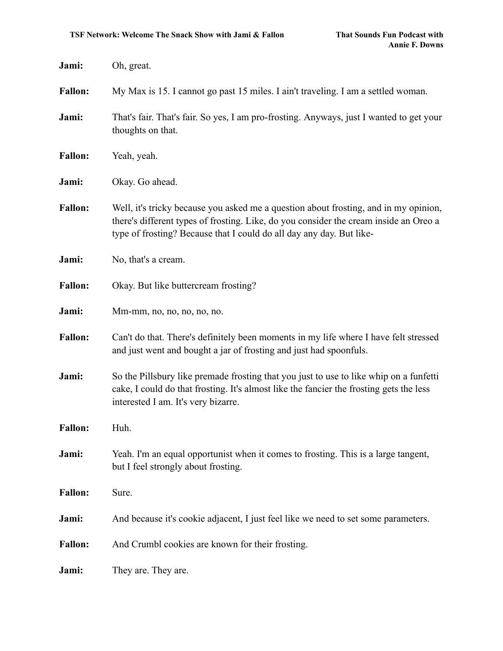| Jami:          | Oh, great.                                                                                                                                                                                                                                            |
|----------------|-------------------------------------------------------------------------------------------------------------------------------------------------------------------------------------------------------------------------------------------------------|
| <b>Fallon:</b> | My Max is 15. I cannot go past 15 miles. I ain't traveling. I am a settled woman.                                                                                                                                                                     |
| Jami:          | That's fair. That's fair. So yes, I am pro-frosting. Anyways, just I wanted to get your<br>thoughts on that.                                                                                                                                          |
| <b>Fallon:</b> | Yeah, yeah.                                                                                                                                                                                                                                           |
| Jami:          | Okay. Go ahead.                                                                                                                                                                                                                                       |
| <b>Fallon:</b> | Well, it's tricky because you asked me a question about frosting, and in my opinion,<br>there's different types of frosting. Like, do you consider the cream inside an Oreo a<br>type of frosting? Because that I could do all day any day. But like- |
| Jami:          | No, that's a cream.                                                                                                                                                                                                                                   |
| <b>Fallon:</b> | Okay. But like buttercream frosting?                                                                                                                                                                                                                  |
| Jami:          | Mm-mm, no, no, no, no, no.                                                                                                                                                                                                                            |
| <b>Fallon:</b> | Can't do that. There's definitely been moments in my life where I have felt stressed<br>and just went and bought a jar of frosting and just had spoonfuls.                                                                                            |
| Jami:          | So the Pillsbury like premade frosting that you just to use to like whip on a funfetti<br>cake, I could do that frosting. It's almost like the fancier the frosting gets the less<br>interested I am. It's very bizarre.                              |
| <b>Fallon:</b> | Huh.                                                                                                                                                                                                                                                  |
| Jami:          | Yeah. I'm an equal opportunist when it comes to frosting. This is a large tangent,<br>but I feel strongly about frosting.                                                                                                                             |
| <b>Fallon:</b> | Sure.                                                                                                                                                                                                                                                 |
| Jami:          | And because it's cookie adjacent, I just feel like we need to set some parameters.                                                                                                                                                                    |
| <b>Fallon:</b> | And Crumbl cookies are known for their frosting.                                                                                                                                                                                                      |
| Jami:          | They are. They are.                                                                                                                                                                                                                                   |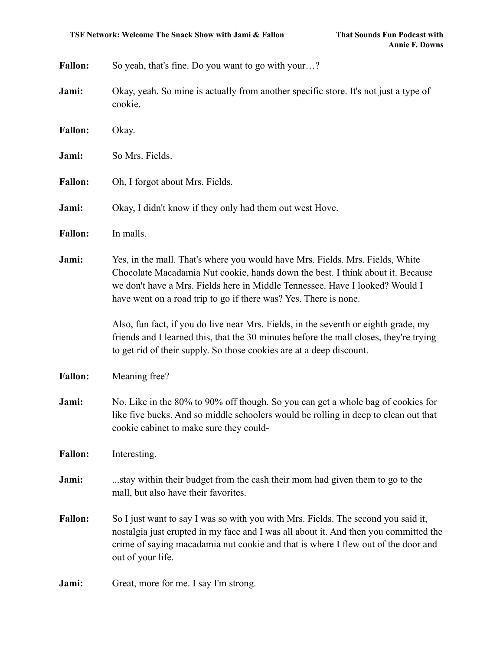| <b>Fallon:</b> | So yeah, that's fine. Do you want to go with your?                                                                                                                                                                                                                                                                  |
|----------------|---------------------------------------------------------------------------------------------------------------------------------------------------------------------------------------------------------------------------------------------------------------------------------------------------------------------|
| Jami:          | Okay, yeah. So mine is actually from another specific store. It's not just a type of<br>cookie.                                                                                                                                                                                                                     |
| <b>Fallon:</b> | Okay.                                                                                                                                                                                                                                                                                                               |
| Jami:          | So Mrs. Fields.                                                                                                                                                                                                                                                                                                     |
| <b>Fallon:</b> | Oh, I forgot about Mrs. Fields.                                                                                                                                                                                                                                                                                     |
| Jami:          | Okay, I didn't know if they only had them out west Hove.                                                                                                                                                                                                                                                            |
| <b>Fallon:</b> | In malls.                                                                                                                                                                                                                                                                                                           |
| Jami:          | Yes, in the mall. That's where you would have Mrs. Fields. Mrs. Fields, White<br>Chocolate Macadamia Nut cookie, hands down the best. I think about it. Because<br>we don't have a Mrs. Fields here in Middle Tennessee. Have I looked? Would I<br>have went on a road trip to go if there was? Yes. There is none. |
|                | Also, fun fact, if you do live near Mrs. Fields, in the seventh or eighth grade, my<br>friends and I learned this, that the 30 minutes before the mall closes, they're trying<br>to get rid of their supply. So those cookies are at a deep discount.                                                               |
| <b>Fallon:</b> | Meaning free?                                                                                                                                                                                                                                                                                                       |
| Jami:          | No. Like in the 80% to 90% off though. So you can get a whole bag of cookies for<br>like five bucks. And so middle schoolers would be rolling in deep to clean out that<br>cookie cabinet to make sure they could-                                                                                                  |
| <b>Fallon:</b> | Interesting.                                                                                                                                                                                                                                                                                                        |
| Jami:          | stay within their budget from the cash their mom had given them to go to the<br>mall, but also have their favorites.                                                                                                                                                                                                |
| <b>Fallon:</b> | So I just want to say I was so with you with Mrs. Fields. The second you said it,<br>nostalgia just erupted in my face and I was all about it. And then you committed the<br>crime of saying macadamia nut cookie and that is where I flew out of the door and<br>out of your life.                                 |
| Jami:          | Great, more for me. I say I'm strong.                                                                                                                                                                                                                                                                               |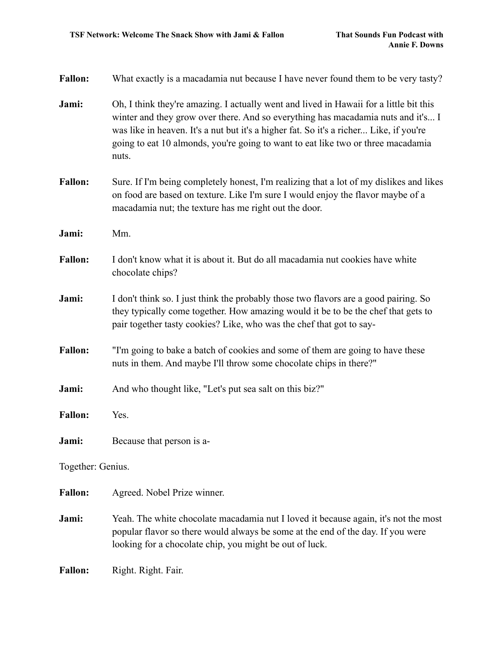| <b>Fallon:</b>    | What exactly is a macadamia nut because I have never found them to be very tasty?                                                                                                                                                                                                                                                                                 |  |
|-------------------|-------------------------------------------------------------------------------------------------------------------------------------------------------------------------------------------------------------------------------------------------------------------------------------------------------------------------------------------------------------------|--|
| Jami:             | Oh, I think they're amazing. I actually went and lived in Hawaii for a little bit this<br>winter and they grow over there. And so everything has macadamia nuts and it's I<br>was like in heaven. It's a nut but it's a higher fat. So it's a richer Like, if you're<br>going to eat 10 almonds, you're going to want to eat like two or three macadamia<br>nuts. |  |
| <b>Fallon:</b>    | Sure. If I'm being completely honest, I'm realizing that a lot of my dislikes and likes<br>on food are based on texture. Like I'm sure I would enjoy the flavor maybe of a<br>macadamia nut; the texture has me right out the door.                                                                                                                               |  |
| Jami:             | Mm.                                                                                                                                                                                                                                                                                                                                                               |  |
| <b>Fallon:</b>    | I don't know what it is about it. But do all macadamia nut cookies have white<br>chocolate chips?                                                                                                                                                                                                                                                                 |  |
| Jami:             | I don't think so. I just think the probably those two flavors are a good pairing. So<br>they typically come together. How amazing would it be to be the chef that gets to<br>pair together tasty cookies? Like, who was the chef that got to say-                                                                                                                 |  |
| <b>Fallon:</b>    | "I'm going to bake a batch of cookies and some of them are going to have these<br>nuts in them. And maybe I'll throw some chocolate chips in there?"                                                                                                                                                                                                              |  |
| Jami:             | And who thought like, "Let's put sea salt on this biz?"                                                                                                                                                                                                                                                                                                           |  |
| <b>Fallon:</b>    | Yes.                                                                                                                                                                                                                                                                                                                                                              |  |
| Jami:             | Because that person is a-                                                                                                                                                                                                                                                                                                                                         |  |
| Together: Genius. |                                                                                                                                                                                                                                                                                                                                                                   |  |
| <b>Fallon:</b>    | Agreed. Nobel Prize winner.                                                                                                                                                                                                                                                                                                                                       |  |
| Jami:             | Yeah. The white chocolate macadamia nut I loved it because again, it's not the most<br>popular flavor so there would always be some at the end of the day. If you were<br>looking for a chocolate chip, you might be out of luck.                                                                                                                                 |  |
| <b>Fallon:</b>    | Right. Right. Fair.                                                                                                                                                                                                                                                                                                                                               |  |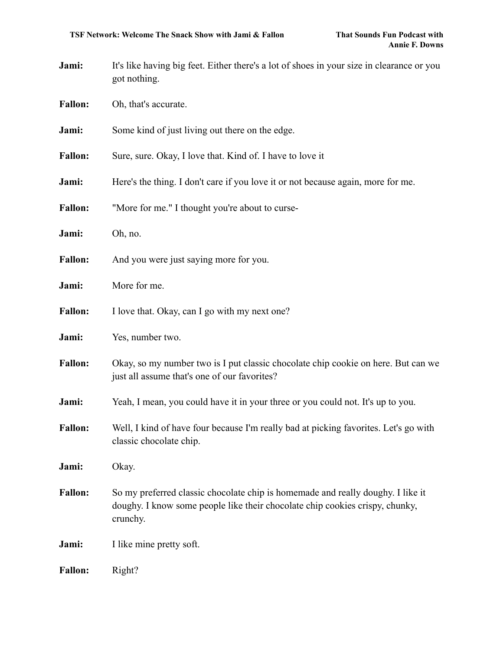- **Jami:** It's like having big feet. Either there's a lot of shoes in your size in clearance or you got nothing.
- Fallon: Oh, that's accurate.
- **Jami:** Some kind of just living out there on the edge.
- Fallon: Sure, sure. Okay, I love that. Kind of. I have to love it
- **Jami:** Here's the thing. I don't care if you love it or not because again, more for me.
- Fallon: "More for me." I thought you're about to curse-
- **Jami:** Oh, no.
- Fallon: And you were just saying more for you.
- **Jami:** More for me.
- Fallon: I love that. Okay, can I go with my next one?
- **Jami:** Yes, number two.
- Fallon: Okay, so my number two is I put classic chocolate chip cookie on here. But can we just all assume that's one of our favorites?
- **Jami:** Yeah, I mean, you could have it in your three or you could not. It's up to you.
- **Fallon:** Well, I kind of have four because I'm really bad at picking favorites. Let's go with classic chocolate chip.
- **Jami:** Okay.
- **Fallon:** So my preferred classic chocolate chip is homemade and really doughy. I like it doughy. I know some people like their chocolate chip cookies crispy, chunky, crunchy.
- **Jami:** I like mine pretty soft.
- Fallon: Right?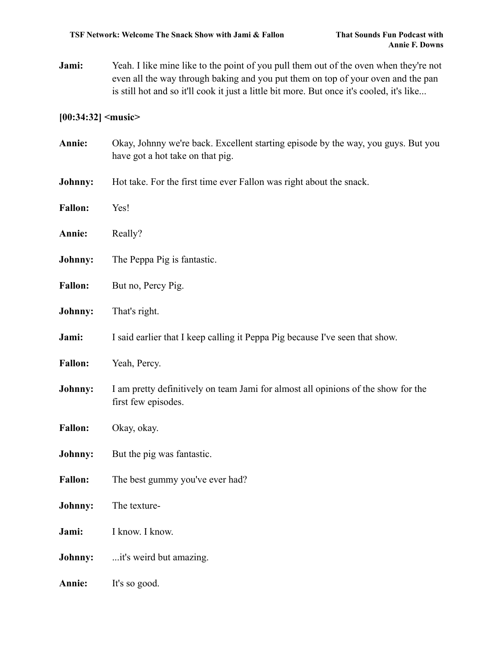**Jami:** Yeah. I like mine like to the point of you pull them out of the oven when they're not even all the way through baking and you put them on top of your oven and the pan is still hot and so it'll cook it just a little bit more. But once it's cooled, it's like...

# **[00:34:32] <music>**

| Annie:         | Okay, Johnny we're back. Excellent starting episode by the way, you guys. But you<br>have got a hot take on that pig. |
|----------------|-----------------------------------------------------------------------------------------------------------------------|
| Johnny:        | Hot take. For the first time ever Fallon was right about the snack.                                                   |
| <b>Fallon:</b> | Yes!                                                                                                                  |
| Annie:         | Really?                                                                                                               |
| Johnny:        | The Peppa Pig is fantastic.                                                                                           |
| <b>Fallon:</b> | But no, Percy Pig.                                                                                                    |
| Johnny:        | That's right.                                                                                                         |
| Jami:          | I said earlier that I keep calling it Peppa Pig because I've seen that show.                                          |
| <b>Fallon:</b> | Yeah, Percy.                                                                                                          |
| Johnny:        | I am pretty definitively on team Jami for almost all opinions of the show for the<br>first few episodes.              |
| <b>Fallon:</b> | Okay, okay.                                                                                                           |
| Johnny:        | But the pig was fantastic.                                                                                            |
| <b>Fallon:</b> | The best gummy you've ever had?                                                                                       |
| Johnny:        | The texture-                                                                                                          |
| Jami:          | I know. I know.                                                                                                       |
| Johnny:        | it's weird but amazing.                                                                                               |
| Annie:         | It's so good.                                                                                                         |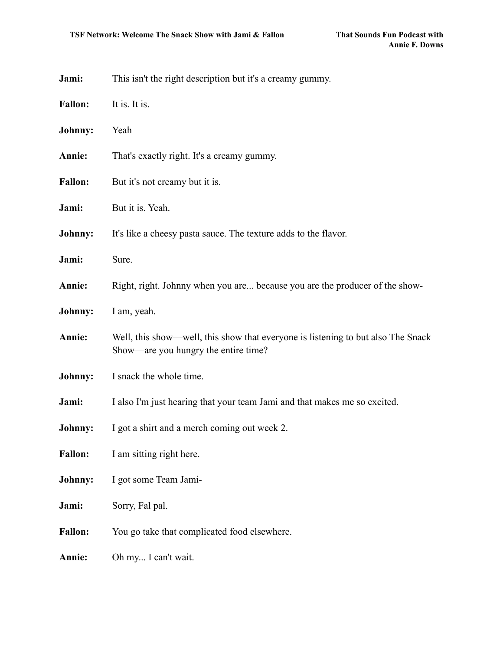| Jami:          | This isn't the right description but it's a creamy gummy.                                                                |
|----------------|--------------------------------------------------------------------------------------------------------------------------|
| <b>Fallon:</b> | It is. It is.                                                                                                            |
| Johnny:        | Yeah                                                                                                                     |
| Annie:         | That's exactly right. It's a creamy gummy.                                                                               |
| <b>Fallon:</b> | But it's not creamy but it is.                                                                                           |
| Jami:          | But it is. Yeah.                                                                                                         |
| Johnny:        | It's like a cheesy pasta sauce. The texture adds to the flavor.                                                          |
| Jami:          | Sure.                                                                                                                    |
| Annie:         | Right, right. Johnny when you are because you are the producer of the show-                                              |
| Johnny:        | I am, yeah.                                                                                                              |
| Annie:         | Well, this show—well, this show that everyone is listening to but also The Snack<br>Show—are you hungry the entire time? |
| Johnny:        | I snack the whole time.                                                                                                  |
| Jami:          | I also I'm just hearing that your team Jami and that makes me so excited.                                                |
| Johnny:        | I got a shirt and a merch coming out week 2.                                                                             |
| <b>Fallon:</b> | I am sitting right here.                                                                                                 |
| Johnny:        | I got some Team Jami-                                                                                                    |
| Jami:          | Sorry, Fal pal.                                                                                                          |
| <b>Fallon:</b> | You go take that complicated food elsewhere.                                                                             |
| Annie:         | Oh my I can't wait.                                                                                                      |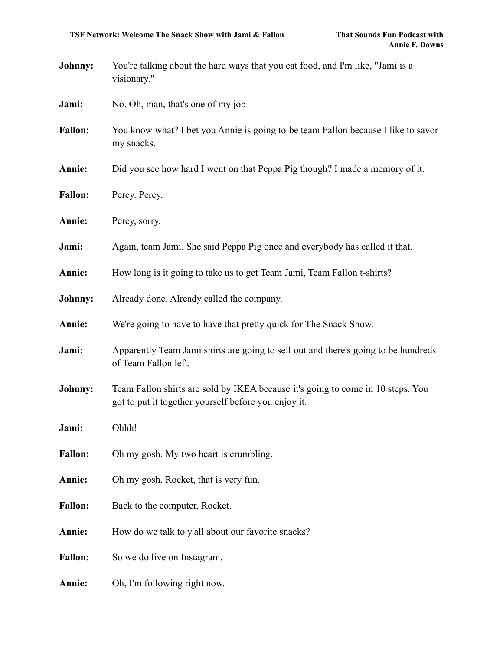- **Johnny:** You're talking about the hard ways that you eat food, and I'm like, "Jami is a visionary."
- **Jami:** No. Oh, man, that's one of my job-
- **Fallon:** You know what? I bet you Annie is going to be team Fallon because I like to savor my snacks.
- **Annie:** Did you see how hard I went on that Peppa Pig though? I made a memory of it.
- Fallon: Percy. Percy.
- **Annie:** Percy, sorry.
- **Jami:** Again, team Jami. She said Peppa Pig once and everybody has called it that.
- **Annie:** How long is it going to take us to get Team Jami, Team Fallon t-shirts?
- **Johnny:** Already done. Already called the company.
- **Annie:** We're going to have to have that pretty quick for The Snack Show.
- **Jami:** Apparently Team Jami shirts are going to sell out and there's going to be hundreds of Team Fallon left.
- **Johnny:** Team Fallon shirts are sold by IKEA because it's going to come in 10 steps. You got to put it together yourself before you enjoy it.
- **Jami:** Ohhh!
- **Fallon:** Oh my gosh. My two heart is crumbling.
- **Annie:** Oh my gosh. Rocket, that is very fun.
- Fallon: Back to the computer, Rocket.
- Annie: How do we talk to y'all about our favorite snacks?

Fallon: So we do live on Instagram.

**Annie:** Oh, I'm following right now.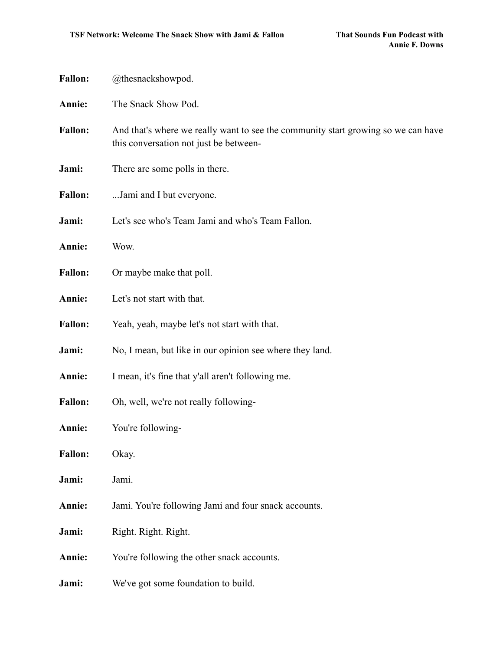| <b>Fallon:</b> | @thesnackshowpod.                                                                                                           |
|----------------|-----------------------------------------------------------------------------------------------------------------------------|
| Annie:         | The Snack Show Pod.                                                                                                         |
| <b>Fallon:</b> | And that's where we really want to see the community start growing so we can have<br>this conversation not just be between- |
| Jami:          | There are some polls in there.                                                                                              |
| <b>Fallon:</b> | Jami and I but everyone.                                                                                                    |
| Jami:          | Let's see who's Team Jami and who's Team Fallon.                                                                            |
| Annie:         | Wow.                                                                                                                        |
| <b>Fallon:</b> | Or maybe make that poll.                                                                                                    |
| Annie:         | Let's not start with that.                                                                                                  |
| <b>Fallon:</b> | Yeah, yeah, maybe let's not start with that.                                                                                |
| Jami:          | No, I mean, but like in our opinion see where they land.                                                                    |
| Annie:         | I mean, it's fine that y'all aren't following me.                                                                           |
| <b>Fallon:</b> | Oh, well, we're not really following-                                                                                       |
| Annie:         | You're following-                                                                                                           |
| <b>Fallon:</b> | Okay.                                                                                                                       |
| Jami:          | Jami.                                                                                                                       |
| Annie:         | Jami. You're following Jami and four snack accounts.                                                                        |
| Jami:          | Right. Right. Right.                                                                                                        |
| Annie:         | You're following the other snack accounts.                                                                                  |
| Jami:          | We've got some foundation to build.                                                                                         |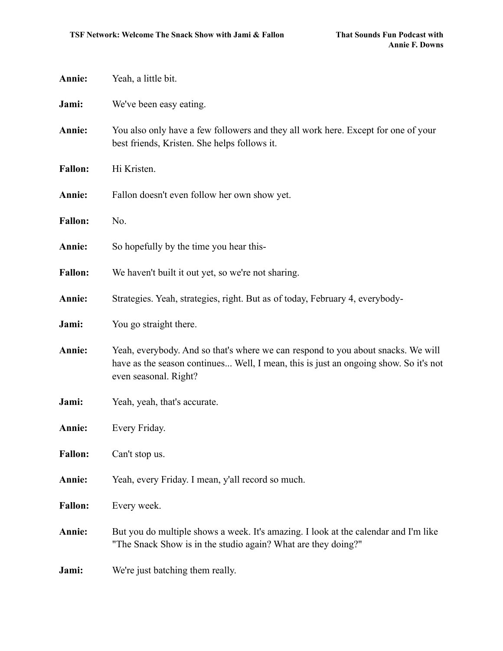| Annie:         | Yeah, a little bit.                                                                                                                                                                               |
|----------------|---------------------------------------------------------------------------------------------------------------------------------------------------------------------------------------------------|
| Jami:          | We've been easy eating.                                                                                                                                                                           |
| Annie:         | You also only have a few followers and they all work here. Except for one of your<br>best friends, Kristen. She helps follows it.                                                                 |
| <b>Fallon:</b> | Hi Kristen.                                                                                                                                                                                       |
| Annie:         | Fallon doesn't even follow her own show yet.                                                                                                                                                      |
| <b>Fallon:</b> | No.                                                                                                                                                                                               |
| Annie:         | So hopefully by the time you hear this-                                                                                                                                                           |
| <b>Fallon:</b> | We haven't built it out yet, so we're not sharing.                                                                                                                                                |
| Annie:         | Strategies. Yeah, strategies, right. But as of today, February 4, everybody-                                                                                                                      |
| Jami:          | You go straight there.                                                                                                                                                                            |
| Annie:         | Yeah, everybody. And so that's where we can respond to you about snacks. We will<br>have as the season continues Well, I mean, this is just an ongoing show. So it's not<br>even seasonal. Right? |
| Jami:          | Yeah, yeah, that's accurate.                                                                                                                                                                      |
| Annie:         | Every Friday.                                                                                                                                                                                     |
| <b>Fallon:</b> | Can't stop us.                                                                                                                                                                                    |
| Annie:         | Yeah, every Friday. I mean, y'all record so much.                                                                                                                                                 |
| <b>Fallon:</b> | Every week.                                                                                                                                                                                       |
| Annie:         | But you do multiple shows a week. It's amazing. I look at the calendar and I'm like<br>"The Snack Show is in the studio again? What are they doing?"                                              |
| Jami:          | We're just batching them really.                                                                                                                                                                  |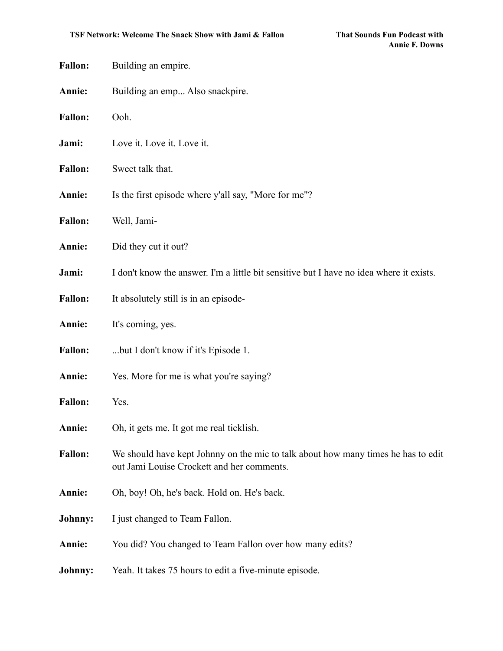| <b>Fallon:</b> | Building an empire.                                                                                                             |
|----------------|---------------------------------------------------------------------------------------------------------------------------------|
| Annie:         | Building an emp Also snackpire.                                                                                                 |
| <b>Fallon:</b> | Ooh.                                                                                                                            |
| Jami:          | Love it. Love it. Love it.                                                                                                      |
| <b>Fallon:</b> | Sweet talk that.                                                                                                                |
| Annie:         | Is the first episode where y'all say, "More for me"?                                                                            |
| <b>Fallon:</b> | Well, Jami-                                                                                                                     |
| Annie:         | Did they cut it out?                                                                                                            |
| Jami:          | I don't know the answer. I'm a little bit sensitive but I have no idea where it exists.                                         |
| <b>Fallon:</b> | It absolutely still is in an episode-                                                                                           |
| Annie:         | It's coming, yes.                                                                                                               |
| <b>Fallon:</b> | but I don't know if it's Episode 1.                                                                                             |
| Annie:         | Yes. More for me is what you're saying?                                                                                         |
| <b>Fallon:</b> | Yes.                                                                                                                            |
| Annie:         | Oh, it gets me. It got me real ticklish.                                                                                        |
| <b>Fallon:</b> | We should have kept Johnny on the mic to talk about how many times he has to edit<br>out Jami Louise Crockett and her comments. |
| Annie:         | Oh, boy! Oh, he's back. Hold on. He's back.                                                                                     |
| Johnny:        | I just changed to Team Fallon.                                                                                                  |
| Annie:         | You did? You changed to Team Fallon over how many edits?                                                                        |
| <b>Johnny:</b> | Yeah. It takes 75 hours to edit a five-minute episode.                                                                          |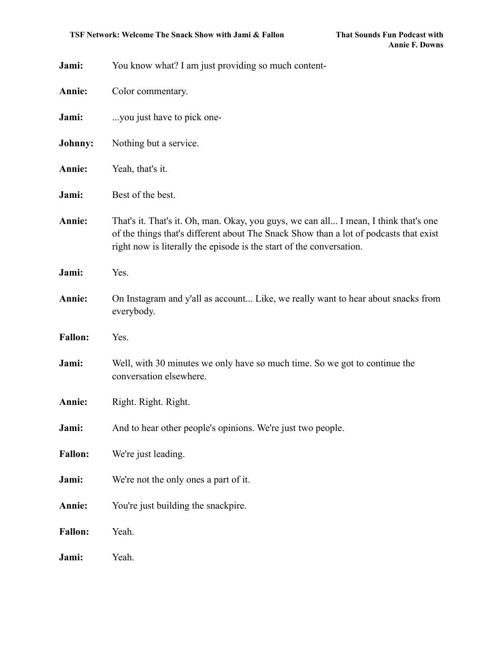| Jami:          | You know what? I am just providing so much content-                                                                                                                                                                                                   |
|----------------|-------------------------------------------------------------------------------------------------------------------------------------------------------------------------------------------------------------------------------------------------------|
| Annie:         | Color commentary.                                                                                                                                                                                                                                     |
| Jami:          | you just have to pick one-                                                                                                                                                                                                                            |
| Johnny:        | Nothing but a service.                                                                                                                                                                                                                                |
| Annie:         | Yeah, that's it.                                                                                                                                                                                                                                      |
| Jami:          | Best of the best.                                                                                                                                                                                                                                     |
| Annie:         | That's it. That's it. Oh, man. Okay, you guys, we can all I mean, I think that's one<br>of the things that's different about The Snack Show than a lot of podcasts that exist<br>right now is literally the episode is the start of the conversation. |
| Jami:          | Yes.                                                                                                                                                                                                                                                  |
| Annie:         | On Instagram and y'all as account Like, we really want to hear about snacks from<br>everybody.                                                                                                                                                        |
| <b>Fallon:</b> | Yes.                                                                                                                                                                                                                                                  |
| Jami:          | Well, with 30 minutes we only have so much time. So we got to continue the<br>conversation elsewhere.                                                                                                                                                 |
| Annie:         | Right. Right. Right.                                                                                                                                                                                                                                  |
| Jami:          | And to hear other people's opinions. We're just two people.                                                                                                                                                                                           |
| <b>Fallon:</b> | We're just leading.                                                                                                                                                                                                                                   |
| Jami:          | We're not the only ones a part of it.                                                                                                                                                                                                                 |
| Annie:         | You're just building the snackpire.                                                                                                                                                                                                                   |
| <b>Fallon:</b> | Yeah.                                                                                                                                                                                                                                                 |
| Jami:          | Yeah.                                                                                                                                                                                                                                                 |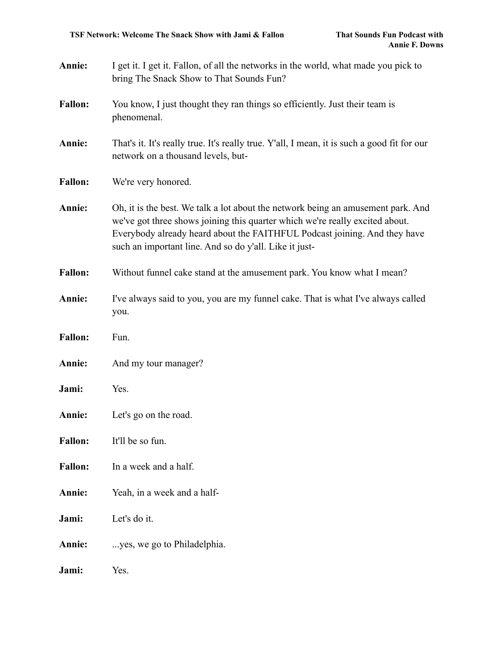| Annie:         | I get it. I get it. Fallon, of all the networks in the world, what made you pick to<br>bring The Snack Show to That Sounds Fun?                                                                                                                                                                         |
|----------------|---------------------------------------------------------------------------------------------------------------------------------------------------------------------------------------------------------------------------------------------------------------------------------------------------------|
| <b>Fallon:</b> | You know, I just thought they ran things so efficiently. Just their team is<br>phenomenal.                                                                                                                                                                                                              |
| Annie:         | That's it. It's really true. It's really true. Y'all, I mean, it is such a good fit for our<br>network on a thousand levels, but-                                                                                                                                                                       |
| <b>Fallon:</b> | We're very honored.                                                                                                                                                                                                                                                                                     |
| Annie:         | Oh, it is the best. We talk a lot about the network being an amusement park. And<br>we've got three shows joining this quarter which we're really excited about.<br>Everybody already heard about the FAITHFUL Podcast joining. And they have<br>such an important line. And so do y'all. Like it just- |
| <b>Fallon:</b> | Without funnel cake stand at the amusement park. You know what I mean?                                                                                                                                                                                                                                  |
| Annie:         | I've always said to you, you are my funnel cake. That is what I've always called<br>you.                                                                                                                                                                                                                |
| <b>Fallon:</b> | Fun.                                                                                                                                                                                                                                                                                                    |
| Annie:         | And my tour manager?                                                                                                                                                                                                                                                                                    |
| Jami:          | Yes.                                                                                                                                                                                                                                                                                                    |
| Annie:         | Let's go on the road.                                                                                                                                                                                                                                                                                   |
| <b>Fallon:</b> | It'll be so fun.                                                                                                                                                                                                                                                                                        |
| <b>Fallon:</b> | In a week and a half.                                                                                                                                                                                                                                                                                   |
| Annie:         | Yeah, in a week and a half-                                                                                                                                                                                                                                                                             |
| Jami:          | Let's do it.                                                                                                                                                                                                                                                                                            |
| Annie:         | yes, we go to Philadelphia.                                                                                                                                                                                                                                                                             |
| Jami:          | Yes.                                                                                                                                                                                                                                                                                                    |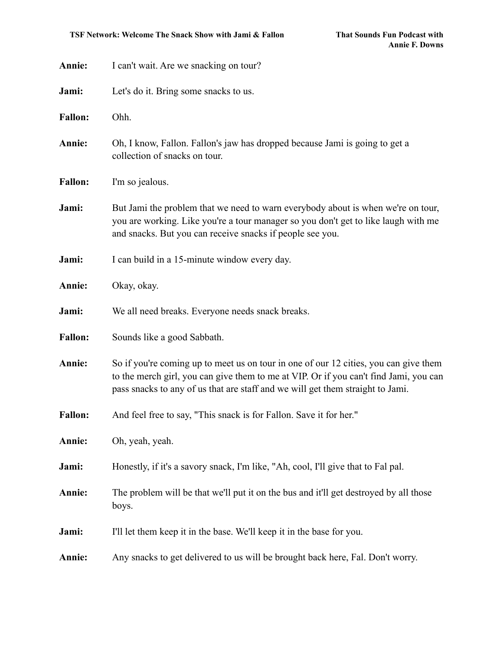| Annie:         | I can't wait. Are we snacking on tour?                                                                                                                                                                                                                          |
|----------------|-----------------------------------------------------------------------------------------------------------------------------------------------------------------------------------------------------------------------------------------------------------------|
| Jami:          | Let's do it. Bring some snacks to us.                                                                                                                                                                                                                           |
| <b>Fallon:</b> | Ohh.                                                                                                                                                                                                                                                            |
| Annie:         | Oh, I know, Fallon. Fallon's jaw has dropped because Jami is going to get a<br>collection of snacks on tour.                                                                                                                                                    |
| <b>Fallon:</b> | I'm so jealous.                                                                                                                                                                                                                                                 |
| Jami:          | But Jami the problem that we need to warn everybody about is when we're on tour,<br>you are working. Like you're a tour manager so you don't get to like laugh with me<br>and snacks. But you can receive snacks if people see you.                             |
| Jami:          | I can build in a 15-minute window every day.                                                                                                                                                                                                                    |
| Annie:         | Okay, okay.                                                                                                                                                                                                                                                     |
| Jami:          | We all need breaks. Everyone needs snack breaks.                                                                                                                                                                                                                |
| <b>Fallon:</b> | Sounds like a good Sabbath.                                                                                                                                                                                                                                     |
| Annie:         | So if you're coming up to meet us on tour in one of our 12 cities, you can give them<br>to the merch girl, you can give them to me at VIP. Or if you can't find Jami, you can<br>pass snacks to any of us that are staff and we will get them straight to Jami. |
| <b>Fallon:</b> | And feel free to say, "This snack is for Fallon. Save it for her."                                                                                                                                                                                              |
| Annie:         | Oh, yeah, yeah.                                                                                                                                                                                                                                                 |
| Jami:          | Honestly, if it's a savory snack, I'm like, "Ah, cool, I'll give that to Fal pal.                                                                                                                                                                               |
| Annie:         | The problem will be that we'll put it on the bus and it'll get destroyed by all those<br>boys.                                                                                                                                                                  |
| Jami:          | I'll let them keep it in the base. We'll keep it in the base for you.                                                                                                                                                                                           |
| Annie:         | Any snacks to get delivered to us will be brought back here, Fal. Don't worry.                                                                                                                                                                                  |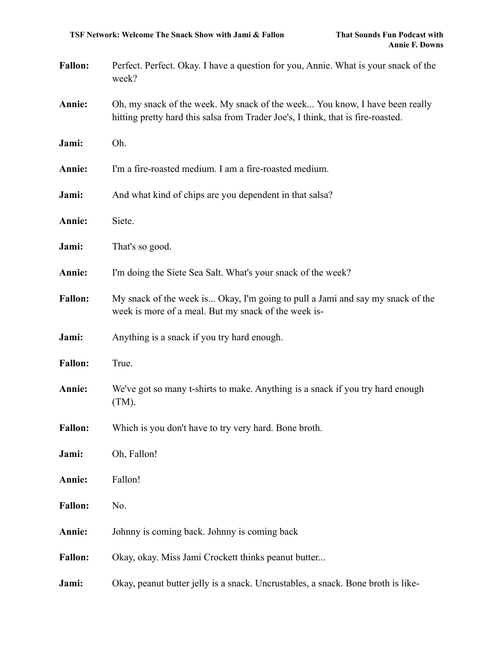| <b>Fallon:</b> | Perfect. Perfect. Okay. I have a question for you, Annie. What is your snack of the<br>week?                                                                    |
|----------------|-----------------------------------------------------------------------------------------------------------------------------------------------------------------|
| Annie:         | Oh, my snack of the week. My snack of the week You know, I have been really<br>hitting pretty hard this salsa from Trader Joe's, I think, that is fire-roasted. |

- **Annie:** I'm a fire-roasted medium. I am a fire-roasted medium.
- **Jami:** And what kind of chips are you dependent in that salsa?
- **Annie:** Siete.

**Jami:** Oh.

- **Jami:** That's so good.
- **Annie:** I'm doing the Siete Sea Salt. What's your snack of the week?
- **Fallon:** My snack of the week is... Okay, I'm going to pull a Jami and say my snack of the week is more of a meal. But my snack of the week is-
- **Jami:** Anything is a snack if you try hard enough.
- Fallon: True.
- **Annie:** We've got so many t-shirts to make. Anything is a snack if you try hard enough (TM).
- **Fallon:** Which is you don't have to try very hard. Bone broth.
- **Jami:** Oh, Fallon!
- **Annie:** Fallon!
- **Fallon:** No.
- **Annie:** Johnny is coming back. Johnny is coming back
- **Fallon:** Okay, okay. Miss Jami Crockett thinks peanut butter...
- **Jami:** Okay, peanut butter jelly is a snack. Uncrustables, a snack. Bone broth is like-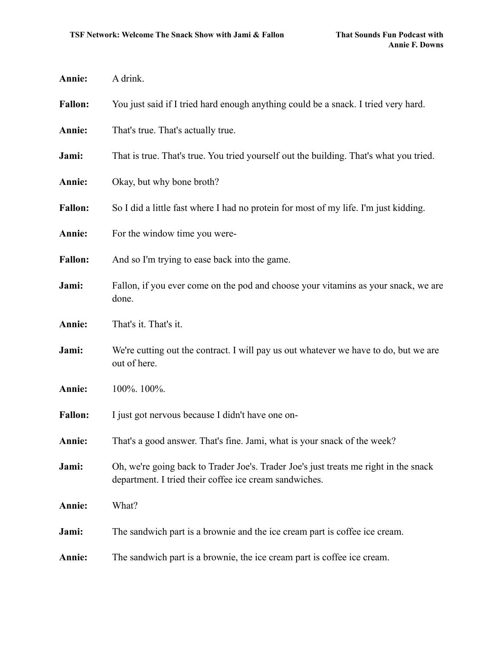| Annie:         | A drink.                                                                                                                                       |
|----------------|------------------------------------------------------------------------------------------------------------------------------------------------|
| <b>Fallon:</b> | You just said if I tried hard enough anything could be a snack. I tried very hard.                                                             |
| Annie:         | That's true. That's actually true.                                                                                                             |
| Jami:          | That is true. That's true. You tried yourself out the building. That's what you tried.                                                         |
| Annie:         | Okay, but why bone broth?                                                                                                                      |
| <b>Fallon:</b> | So I did a little fast where I had no protein for most of my life. I'm just kidding.                                                           |
| Annie:         | For the window time you were-                                                                                                                  |
| <b>Fallon:</b> | And so I'm trying to ease back into the game.                                                                                                  |
| Jami:          | Fallon, if you ever come on the pod and choose your vitamins as your snack, we are<br>done.                                                    |
| Annie:         | That's it. That's it.                                                                                                                          |
| Jami:          | We're cutting out the contract. I will pay us out whatever we have to do, but we are<br>out of here.                                           |
| Annie:         | 100%. 100%.                                                                                                                                    |
| <b>Fallon:</b> | I just got nervous because I didn't have one on-                                                                                               |
| Annie:         | That's a good answer. That's fine. Jami, what is your snack of the week?                                                                       |
| Jami:          | Oh, we're going back to Trader Joe's. Trader Joe's just treats me right in the snack<br>department. I tried their coffee ice cream sandwiches. |
| Annie:         | What?                                                                                                                                          |
| Jami:          | The sandwich part is a brownie and the ice cream part is coffee ice cream.                                                                     |
| Annie:         | The sandwich part is a brownie, the ice cream part is coffee ice cream.                                                                        |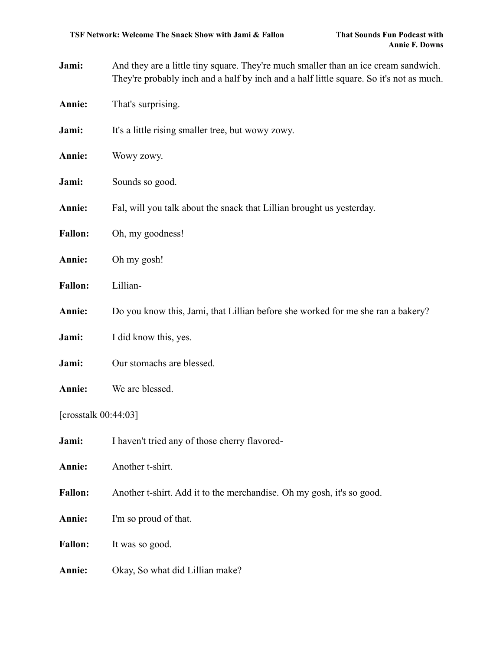- **Jami:** And they are a little tiny square. They're much smaller than an ice cream sandwich. They're probably inch and a half by inch and a half little square. So it's not as much.
- **Annie:** That's surprising.
- **Jami:** It's a little rising smaller tree, but wowy zowy.
- **Annie:** Wowy zowy.
- **Jami:** Sounds so good.
- **Annie:** Fal, will you talk about the snack that Lillian brought us yesterday.
- **Fallon:** Oh, my goodness!
- **Annie:** Oh my gosh!
- **Fallon:** Lillian-
- **Annie:** Do you know this, Jami, that Lillian before she worked for me she ran a bakery?
- **Jami:** I did know this, yes.
- **Jami:** Our stomachs are blessed.
- **Annie:** We are blessed.

[crosstalk 00:44:03]

- **Jami:** I haven't tried any of those cherry flavored-
- **Annie:** Another t-shirt.
- Fallon: Another t-shirt. Add it to the merchandise. Oh my gosh, it's so good.
- **Annie:** I'm so proud of that.
- **Fallon:** It was so good.
- **Annie:** Okay, So what did Lillian make?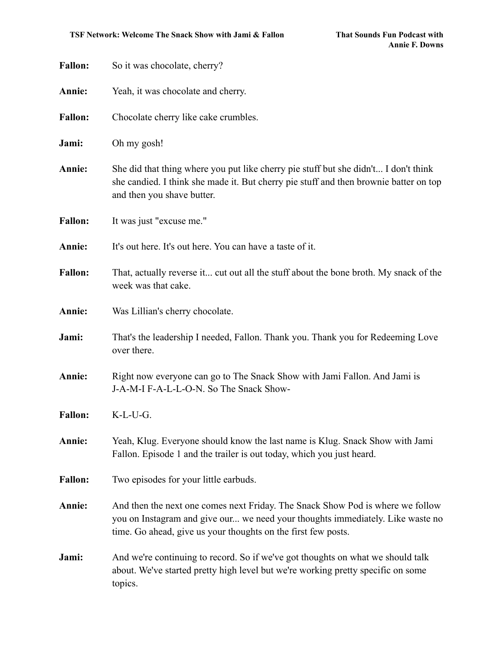| <b>Fallon:</b> | So it was chocolate, cherry?                                                                                                                                                                                                      |
|----------------|-----------------------------------------------------------------------------------------------------------------------------------------------------------------------------------------------------------------------------------|
| Annie:         | Yeah, it was chocolate and cherry.                                                                                                                                                                                                |
| <b>Fallon:</b> | Chocolate cherry like cake crumbles.                                                                                                                                                                                              |
| Jami:          | Oh my gosh!                                                                                                                                                                                                                       |
| Annie:         | She did that thing where you put like cherry pie stuff but she didn't I don't think<br>she candied. I think she made it. But cherry pie stuff and then brownie batter on top<br>and then you shave butter.                        |
| <b>Fallon:</b> | It was just "excuse me."                                                                                                                                                                                                          |
| Annie:         | It's out here. It's out here. You can have a taste of it.                                                                                                                                                                         |
| <b>Fallon:</b> | That, actually reverse it cut out all the stuff about the bone broth. My snack of the<br>week was that cake.                                                                                                                      |
| Annie:         | Was Lillian's cherry chocolate.                                                                                                                                                                                                   |
| Jami:          | That's the leadership I needed, Fallon. Thank you. Thank you for Redeeming Love<br>over there.                                                                                                                                    |
| Annie:         | Right now everyone can go to The Snack Show with Jami Fallon. And Jami is<br>J-A-M-I F-A-L-L-O-N. So The Snack Show-                                                                                                              |
| <b>Fallon:</b> | K-L-U-G.                                                                                                                                                                                                                          |
| Annie:         | Yeah, Klug. Everyone should know the last name is Klug. Snack Show with Jami<br>Fallon. Episode 1 and the trailer is out today, which you just heard.                                                                             |
| <b>Fallon:</b> | Two episodes for your little earbuds.                                                                                                                                                                                             |
| Annie:         | And then the next one comes next Friday. The Snack Show Pod is where we follow<br>you on Instagram and give our we need your thoughts immediately. Like waste no<br>time. Go ahead, give us your thoughts on the first few posts. |
| Jami:          | And we're continuing to record. So if we've got thoughts on what we should talk<br>about. We've started pretty high level but we're working pretty specific on some<br>topics.                                                    |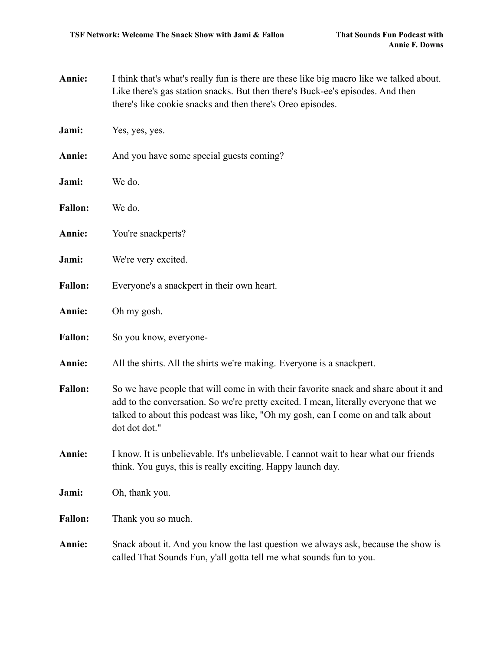- **Annie:** I think that's what's really fun is there are these like big macro like we talked about. Like there's gas station snacks. But then there's Buck-ee's episodes. And then there's like cookie snacks and then there's Oreo episodes.
- **Jami:** Yes, yes, yes.
- **Annie:** And you have some special guests coming?
- **Jami:** We do.
- **Fallon:** We do.
- **Annie:** You're snackperts?
- **Jami:** We're very excited.
- Fallon: Everyone's a snackpert in their own heart.
- **Annie:** Oh my gosh.
- Fallon: So you know, everyone-
- **Annie:** All the shirts. All the shirts we're making. Everyone is a snackpert.
- Fallon: So we have people that will come in with their favorite snack and share about it and add to the conversation. So we're pretty excited. I mean, literally everyone that we talked to about this podcast was like, "Oh my gosh, can I come on and talk about dot dot dot."
- **Annie:** I know. It is unbelievable. It's unbelievable. I cannot wait to hear what our friends think. You guys, this is really exciting. Happy launch day.
- **Jami:** Oh, thank you.
- **Fallon:** Thank you so much.
- **Annie:** Snack about it. And you know the last question we always ask, because the show is called That Sounds Fun, y'all gotta tell me what sounds fun to you.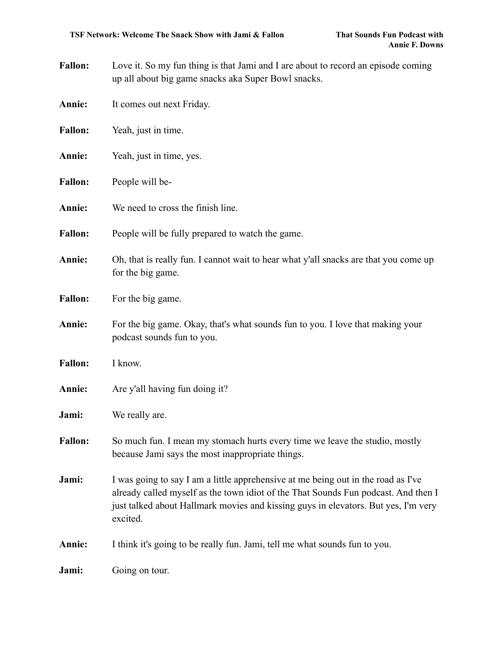- Fallon: Love it. So my fun thing is that Jami and I are about to record an episode coming up all about big game snacks aka Super Bowl snacks.
- **Annie:** It comes out next Friday.
- **Fallon:** Yeah, just in time.
- **Annie:** Yeah, just in time, yes.
- **Fallon:** People will be-
- **Annie:** We need to cross the finish line.
- Fallon: People will be fully prepared to watch the game.
- **Annie:** Oh, that is really fun. I cannot wait to hear what y'all snacks are that you come up for the big game.
- **Fallon:** For the big game.
- **Annie:** For the big game. Okay, that's what sounds fun to you. I love that making your podcast sounds fun to you.
- **Fallon:** I know.
- **Annie:** Are y'all having fun doing it?
- **Jami:** We really are.
- **Fallon:** So much fun. I mean my stomach hurts every time we leave the studio, mostly because Jami says the most inappropriate things.
- **Jami:** I was going to say I am a little apprehensive at me being out in the road as I've already called myself as the town idiot of the That Sounds Fun podcast. And then I just talked about Hallmark movies and kissing guys in elevators. But yes, I'm very excited.
- **Annie:** I think it's going to be really fun. Jami, tell me what sounds fun to you.

**Jami:** Going on tour.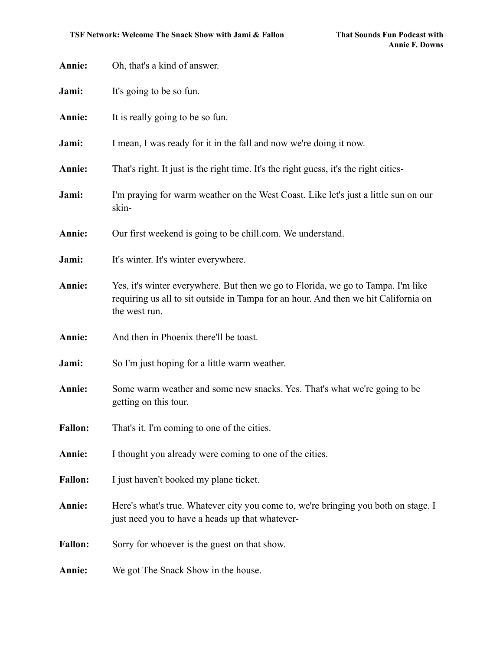| Annie:         | Oh, that's a kind of answer.                                                                                                                                                             |
|----------------|------------------------------------------------------------------------------------------------------------------------------------------------------------------------------------------|
| Jami:          | It's going to be so fun.                                                                                                                                                                 |
| Annie:         | It is really going to be so fun.                                                                                                                                                         |
| Jami:          | I mean, I was ready for it in the fall and now we're doing it now.                                                                                                                       |
| Annie:         | That's right. It just is the right time. It's the right guess, it's the right cities-                                                                                                    |
| Jami:          | I'm praying for warm weather on the West Coast. Like let's just a little sun on our<br>skin-                                                                                             |
| Annie:         | Our first weekend is going to be chill.com. We understand.                                                                                                                               |
| Jami:          | It's winter. It's winter everywhere.                                                                                                                                                     |
| Annie:         | Yes, it's winter everywhere. But then we go to Florida, we go to Tampa. I'm like<br>requiring us all to sit outside in Tampa for an hour. And then we hit California on<br>the west run. |
| Annie:         | And then in Phoenix there'll be toast.                                                                                                                                                   |
| Jami:          | So I'm just hoping for a little warm weather.                                                                                                                                            |
| Annie:         | Some warm weather and some new snacks. Yes. That's what we're going to be<br>getting on this tour.                                                                                       |
| <b>Fallon:</b> | That's it. I'm coming to one of the cities.                                                                                                                                              |
| Annie:         | I thought you already were coming to one of the cities.                                                                                                                                  |
| <b>Fallon:</b> | I just haven't booked my plane ticket.                                                                                                                                                   |
| Annie:         | Here's what's true. Whatever city you come to, we're bringing you both on stage. I<br>just need you to have a heads up that whatever-                                                    |
| <b>Fallon:</b> | Sorry for whoever is the guest on that show.                                                                                                                                             |
| Annie:         | We got The Snack Show in the house.                                                                                                                                                      |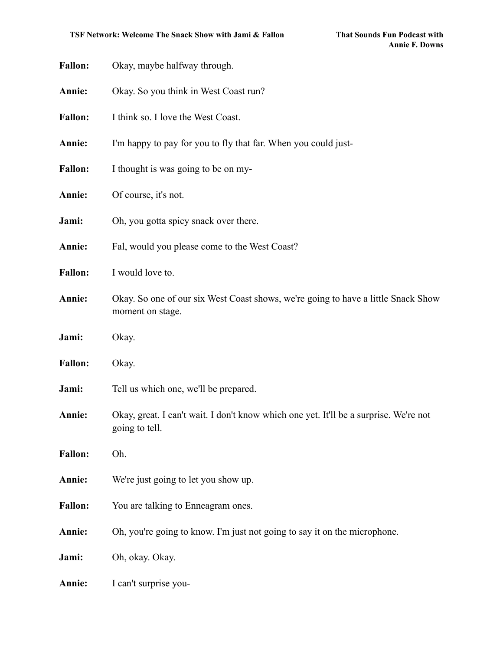| <b>Fallon:</b> | Okay, maybe halfway through.                                                                            |
|----------------|---------------------------------------------------------------------------------------------------------|
| Annie:         | Okay. So you think in West Coast run?                                                                   |
| <b>Fallon:</b> | I think so. I love the West Coast.                                                                      |
| Annie:         | I'm happy to pay for you to fly that far. When you could just-                                          |
| <b>Fallon:</b> | I thought is was going to be on my-                                                                     |
| Annie:         | Of course, it's not.                                                                                    |
| Jami:          | Oh, you gotta spicy snack over there.                                                                   |
| Annie:         | Fal, would you please come to the West Coast?                                                           |
| <b>Fallon:</b> | I would love to.                                                                                        |
| Annie:         | Okay. So one of our six West Coast shows, we're going to have a little Snack Show<br>moment on stage.   |
| Jami:          | Okay.                                                                                                   |
| <b>Fallon:</b> | Okay.                                                                                                   |
| Jami:          | Tell us which one, we'll be prepared.                                                                   |
| Annie:         | Okay, great. I can't wait. I don't know which one yet. It'll be a surprise. We're not<br>going to tell. |
| <b>Fallon:</b> | Oh.                                                                                                     |
| Annie:         | We're just going to let you show up.                                                                    |
| <b>Fallon:</b> | You are talking to Enneagram ones.                                                                      |
| Annie:         | Oh, you're going to know. I'm just not going to say it on the microphone.                               |
| Jami:          | Oh, okay. Okay.                                                                                         |
| <b>Annie:</b>  | I can't surprise you-                                                                                   |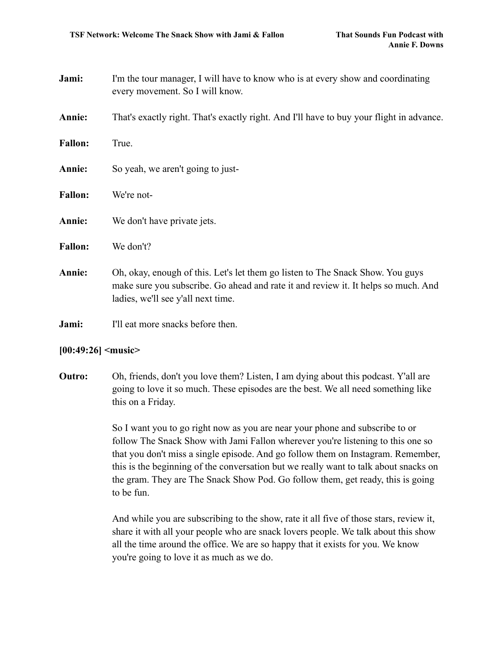- **Jami:** I'm the tour manager, I will have to know who is at every show and coordinating every movement. So I will know.
- **Annie:** That's exactly right. That's exactly right. And I'll have to buy your flight in advance.
- **Fallon:** True.
- **Annie:** So yeah, we aren't going to just-
- **Fallon:** We're not-
- **Annie:** We don't have private jets.
- **Fallon:** We don't?
- **Annie:** Oh, okay, enough of this. Let's let them go listen to The Snack Show. You guys make sure you subscribe. Go ahead and rate it and review it. It helps so much. And ladies, we'll see y'all next time.
- **Jami:** I'll eat more snacks before then.

### **[00:49:26] <music>**

**Outro:** Oh, friends, don't you love them? Listen, I am dying about this podcast. Y'all are going to love it so much. These episodes are the best. We all need something like this on a Friday.

> So I want you to go right now as you are near your phone and subscribe to or follow The Snack Show with Jami Fallon wherever you're listening to this one so that you don't miss a single episode. And go follow them on Instagram. Remember, this is the beginning of the conversation but we really want to talk about snacks on the gram. They are The Snack Show Pod. Go follow them, get ready, this is going to be fun.

And while you are subscribing to the show, rate it all five of those stars, review it, share it with all your people who are snack lovers people. We talk about this show all the time around the office. We are so happy that it exists for you. We know you're going to love it as much as we do.